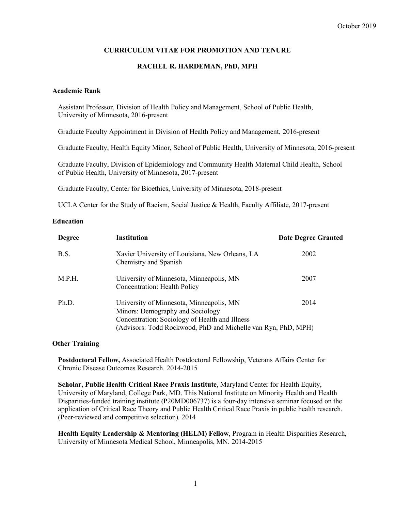# **CURRICULUM VITAE FOR PROMOTION AND TENURE**

#### **RACHEL R. HARDEMAN, PhD, MPH**

#### **Academic Rank**

Assistant Professor, Division of Health Policy and Management, School of Public Health, University of Minnesota, 2016-present

Graduate Faculty Appointment in Division of Health Policy and Management, 2016-present

Graduate Faculty, Health Equity Minor, School of Public Health, University of Minnesota, 2016-present

Graduate Faculty, Division of Epidemiology and Community Health Maternal Child Health, School of Public Health, University of Minnesota, 2017-present

Graduate Faculty, Center for Bioethics, University of Minnesota, 2018-present

UCLA Center for the Study of Racism, Social Justice & Health, Faculty Affiliate, 2017-present

#### **Education**

| <b>Degree</b> | <b>Institution</b>                                                                                                                                                                              | <b>Date Degree Granted</b> |
|---------------|-------------------------------------------------------------------------------------------------------------------------------------------------------------------------------------------------|----------------------------|
| B.S.          | Xavier University of Louisiana, New Orleans, LA<br>Chemistry and Spanish                                                                                                                        | 2002                       |
| M.P.H.        | University of Minnesota, Minneapolis, MN<br><b>Concentration: Health Policy</b>                                                                                                                 | 2007                       |
| Ph.D.         | University of Minnesota, Minneapolis, MN<br>Minors: Demography and Sociology<br>Concentration: Sociology of Health and Illness<br>(Advisors: Todd Rockwood, PhD and Michelle van Ryn, PhD, MPH) | 2014                       |

#### **Other Training**

**Postdoctoral Fellow,** Associated Health Postdoctoral Fellowship, Veterans Affairs Center for Chronic Disease Outcomes Research. 2014-2015

**Scholar, Public Health Critical Race Praxis Institute**, Maryland Center for Health Equity, University of Maryland, College Park, MD. This National Institute on Minority Health and Health Disparities-funded training institute (P20MD006737) is a four-day intensive seminar focused on the application of Critical Race Theory and Public Health Critical Race Praxis in public health research. (Peer-reviewed and competitive selection). 2014

**Health Equity Leadership & Mentoring (HELM) Fellow**, Program in Health Disparities Research, University of Minnesota Medical School, Minneapolis, MN. 2014-2015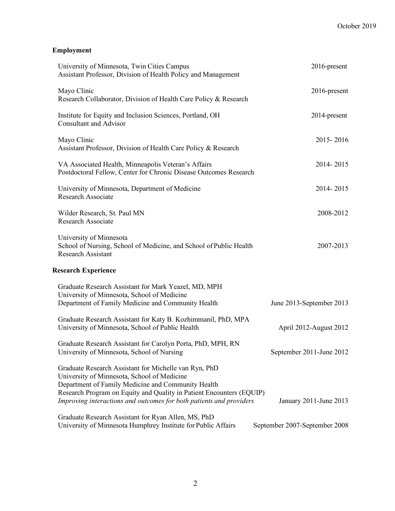# **Employment**

| University of Minnesota, Twin Cities Campus<br>Assistant Professor, Division of Health Policy and Management                                                                                                                                                                                              | 2016-present                  |
|-----------------------------------------------------------------------------------------------------------------------------------------------------------------------------------------------------------------------------------------------------------------------------------------------------------|-------------------------------|
| Mayo Clinic<br>Research Collaborator, Division of Health Care Policy & Research                                                                                                                                                                                                                           | 2016-present                  |
| Institute for Equity and Inclusion Sciences, Portland, OH<br><b>Consultant and Advisor</b>                                                                                                                                                                                                                | 2014-present                  |
| Mayo Clinic<br>Assistant Professor, Division of Health Care Policy & Research                                                                                                                                                                                                                             | 2015-2016                     |
| VA Associated Health, Minneapolis Veteran's Affairs<br>Postdoctoral Fellow, Center for Chronic Disease Outcomes Research                                                                                                                                                                                  | 2014-2015                     |
| University of Minnesota, Department of Medicine<br><b>Research Associate</b>                                                                                                                                                                                                                              | 2014-2015                     |
| Wilder Research, St. Paul MN<br><b>Research Associate</b>                                                                                                                                                                                                                                                 | 2008-2012                     |
| University of Minnesota<br>School of Nursing, School of Medicine, and School of Public Health<br><b>Research Assistant</b>                                                                                                                                                                                | 2007-2013                     |
| <b>Research Experience</b>                                                                                                                                                                                                                                                                                |                               |
| Graduate Research Assistant for Mark Yeazel, MD, MPH<br>University of Minnesota, School of Medicine<br>Department of Family Medicine and Community Health                                                                                                                                                 | June 2013-September 2013      |
| Graduate Research Assistant for Katy B. Kozhimmanil, PhD, MPA<br>University of Minnesota, School of Public Health                                                                                                                                                                                         | April 2012-August 2012        |
| Graduate Research Assistant for Carolyn Porta, PhD, MPH, RN<br>University of Minnesota, School of Nursing                                                                                                                                                                                                 | September 2011-June 2012      |
| Graduate Research Assistant for Michelle van Ryn, PhD<br>University of Minnesota, School of Medicine<br>Department of Family Medicine and Community Health<br>Research Program on Equity and Quality in Patient Encounters (EQUIP)<br>Improving interactions and outcomes for both patients and providers | January 2011-June 2013        |
| Graduate Research Assistant for Ryan Allen, MS, PhD<br>University of Minnesota Humphrey Institute for Public Affairs                                                                                                                                                                                      | September 2007-September 2008 |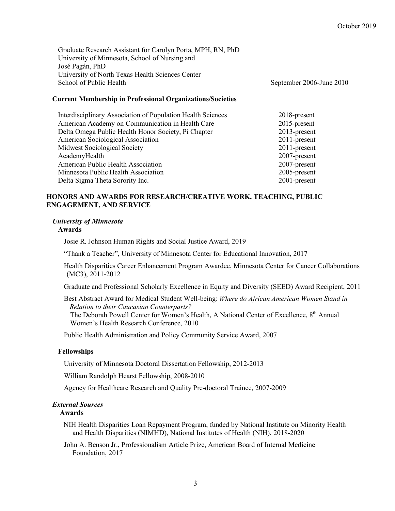Graduate Research Assistant for Carolyn Porta, MPH, RN, PhD University of Minnesota, School of Nursing and José Pagán, PhD University of North Texas Health Sciences Center School of Public Health September 2006-June 2010

# **Current Membership in Professional Organizations/Societies**

| Interdisciplinary Association of Population Health Sciences | 2018-present    |
|-------------------------------------------------------------|-----------------|
| American Academy on Communication in Health Care            | 2015-present    |
| Delta Omega Public Health Honor Society, Pi Chapter         | $2013$ -present |
| American Sociological Association                           | 2011-present    |
| <b>Midwest Sociological Society</b>                         | 2011-present    |
| AcademyHealth                                               | 2007-present    |
| American Public Health Association                          | 2007-present    |
| Minnesota Public Health Association                         | 2005-present    |
| Delta Sigma Theta Sorority Inc.                             | $2001$ -present |

# **HONORS AND AWARDS FOR RESEARCH/CREATIVE WORK, TEACHING, PUBLIC ENGAGEMENT, AND SERVICE**

# *University of Minnesota*

# **Awards**

Josie R. Johnson Human Rights and Social Justice Award, 2019

"Thank a Teacher", University of Minnesota Center for Educational Innovation, 2017

Health Disparities Career Enhancement Program Awardee, Minnesota Center for Cancer Collaborations (MC3), 2011-2012

Graduate and Professional Scholarly Excellence in Equity and Diversity (SEED) Award Recipient, 2011

Best Abstract Award for Medical Student Well-being: *Where do African American Women Stand in Relation to their Caucasian Counterparts?*

The Deborah Powell Center for Women's Health, A National Center of Excellence, 8<sup>th</sup> Annual Women's Health Research Conference, 2010

Public Health Administration and Policy Community Service Award, 2007

#### **Fellowships**

University of Minnesota Doctoral Dissertation Fellowship, 2012-2013

William Randolph Hearst Fellowship, 2008-2010

Agency for Healthcare Research and Quality Pre-doctoral Trainee, 2007-2009

#### *External Sources*

#### **Awards**

NIH Health Disparities Loan Repayment Program, funded by National Institute on Minority Health and Health Disparities (NIMHD), National Institutes of Health (NIH), 2018-2020

John A. Benson Jr., Professionalism Article Prize, American Board of Internal Medicine Foundation, 2017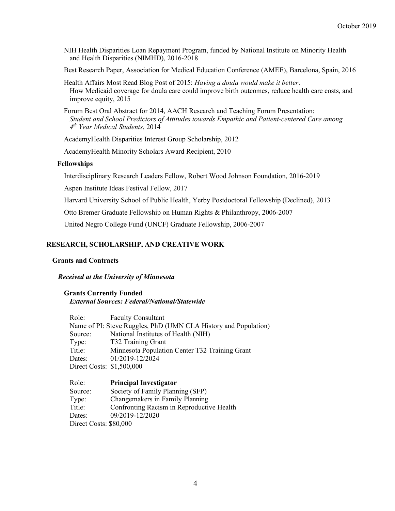NIH Health Disparities Loan Repayment Program, funded by National Institute on Minority Health and Health Disparities (NIMHD), 2016-2018

Best Research Paper, Association for Medical Education Conference (AMEE), Barcelona, Spain, 2016

Health Affairs Most Read Blog Post of 2015: *Having a doula would make it better*. How Medicaid coverage for doula care could improve birth outcomes, reduce health care costs, and improve equity, 2015

Forum Best Oral Abstract for 2014, AACH Research and Teaching Forum Presentation: *Student and School Predictors of Attitudes towards Empathic and Patient-centered Care among 4th Year Medical Students*, 2014

AcademyHealth Disparities Interest Group Scholarship, 2012

AcademyHealth Minority Scholars Award Recipient, 2010

#### **Fellowships**

Interdisciplinary Research Leaders Fellow, Robert Wood Johnson Foundation, 2016-2019

Aspen Institute Ideas Festival Fellow, 2017

Harvard University School of Public Health, Yerby Postdoctoral Fellowship (Declined), 2013

Otto Bremer Graduate Fellowship on Human Rights & Philanthropy, 2006-2007

United Negro College Fund (UNCF) Graduate Fellowship, 2006-2007

#### **RESEARCH, SCHOLARSHIP, AND CREATIVE WORK**

#### **Grants and Contracts**

#### *Received at the University of Minnesota*

#### **Grants Currently Funded** *External Sources: Federal/National/Statewide*

| Role:                     | <b>Faculty Consultant</b>                                       |
|---------------------------|-----------------------------------------------------------------|
|                           | Name of PI: Steve Ruggles, PhD (UMN CLA History and Population) |
| Source:                   | National Institutes of Health (NIH)                             |
| Type:                     | T32 Training Grant                                              |
| Title:                    | Minnesota Population Center T32 Training Grant                  |
| Dates:                    | 01/2019-12/2024                                                 |
| Direct Costs: \$1,500,000 |                                                                 |

| Role:                  | <b>Principal Investigator</b>             |
|------------------------|-------------------------------------------|
| Source:                | Society of Family Planning (SFP)          |
| Type:                  | Changemakers in Family Planning           |
| Title:                 | Confronting Racism in Reproductive Health |
| Dates:                 | 09/2019-12/2020                           |
| Direct Costs: \$80,000 |                                           |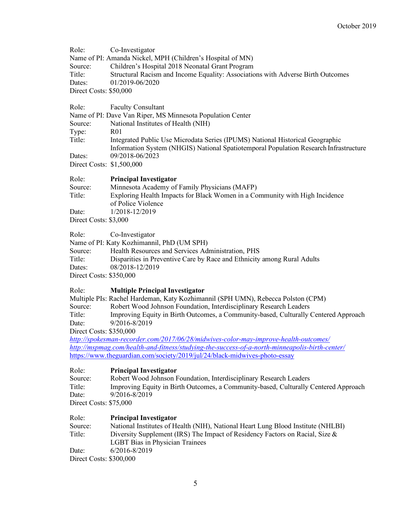| Role:                               | Co-Investigator                                                                                                                                                                           |
|-------------------------------------|-------------------------------------------------------------------------------------------------------------------------------------------------------------------------------------------|
|                                     | Name of PI: Amanda Nickel, MPH (Children's Hospital of MN)                                                                                                                                |
| Source:                             | Children's Hospital 2018 Neonatal Grant Program                                                                                                                                           |
| Title:                              | Structural Racism and Income Equality: Associations with Adverse Birth Outcomes                                                                                                           |
| Dates:                              | 01/2019-06/2020                                                                                                                                                                           |
| Direct Costs: \$50,000              |                                                                                                                                                                                           |
| Role:                               | <b>Faculty Consultant</b>                                                                                                                                                                 |
|                                     | Name of PI: Dave Van Riper, MS Minnesota Population Center                                                                                                                                |
| Source:                             | National Institutes of Health (NIH)                                                                                                                                                       |
| Type:                               | R <sub>0</sub> 1                                                                                                                                                                          |
| Title:                              | Integrated Public Use Microdata Series (IPUMS) National Historical Geographic<br>Information System (NHGIS) National Spatiotemporal Population Research Infrastructure<br>09/2018-06/2023 |
| Dates:<br>Direct Costs: \$1,500,000 |                                                                                                                                                                                           |
|                                     |                                                                                                                                                                                           |
| Role:                               | <b>Principal Investigator</b>                                                                                                                                                             |
| Source:                             | Minnesota Academy of Family Physicians (MAFP)                                                                                                                                             |
| Title:                              | Exploring Health Impacts for Black Women in a Community with High Incidence<br>of Police Violence                                                                                         |
| Date:                               | 1/2018-12/2019                                                                                                                                                                            |
| Direct Costs: \$3,000               |                                                                                                                                                                                           |
| Role:                               | Co-Investigator                                                                                                                                                                           |
|                                     | Name of PI: Katy Kozhimannil, PhD (UM SPH)                                                                                                                                                |
| Source:                             | Health Resources and Services Administration, PHS                                                                                                                                         |
| Title:                              | Disparities in Preventive Care by Race and Ethnicity among Rural Adults                                                                                                                   |
| Dates:                              | 08/2018-12/2019                                                                                                                                                                           |
| Direct Costs: \$350,000             |                                                                                                                                                                                           |
| Role:                               | <b>Multiple Principal Investigator</b>                                                                                                                                                    |
|                                     | Multiple PIs: Rachel Hardeman, Katy Kozhimannil (SPH UMN), Rebecca Polston (CPM)                                                                                                          |
| Source:                             | Robert Wood Johnson Foundation, Interdisciplinary Research Leaders                                                                                                                        |
| Title:                              | Improving Equity in Birth Outcomes, a Community-based, Culturally Centered Approach                                                                                                       |
| Date:                               | 9/2016-8/2019                                                                                                                                                                             |
| Direct Costs: \$350,000             |                                                                                                                                                                                           |
|                                     | http://spokesman-recorder.com/2017/06/28/midwives-color-may-improve-health-outcomes/                                                                                                      |
|                                     | http://mspmag.com/health-and-fitness/studying-the-success-of-a-north-minneapolis-birth-center/                                                                                            |
|                                     | https://www.theguardian.com/society/2019/jul/24/black-midwives-photo-essay                                                                                                                |
| Role:                               | <b>Principal Investigator</b>                                                                                                                                                             |
| Source:                             | Robert Wood Johnson Foundation, Interdisciplinary Research Leaders                                                                                                                        |
| Title:                              | Improving Equity in Birth Outcomes, a Community-based, Culturally Centered Approach                                                                                                       |
| Date:                               | 9/2016-8/2019                                                                                                                                                                             |
| Direct Costs: \$75,000              |                                                                                                                                                                                           |
| Role:                               | <b>Principal Investigator</b>                                                                                                                                                             |
| Source:                             | National Institutes of Health (NIH), National Heart Lung Blood Institute (NHLBI)                                                                                                          |
| Title:                              | Diversity Supplement (IRS) The Impact of Residency Factors on Racial, Size &                                                                                                              |
|                                     | <b>LGBT Bias in Physician Trainees</b>                                                                                                                                                    |
| Date:                               | 6/2016-8/2019                                                                                                                                                                             |
| Direct Costs: \$300,000             |                                                                                                                                                                                           |
|                                     |                                                                                                                                                                                           |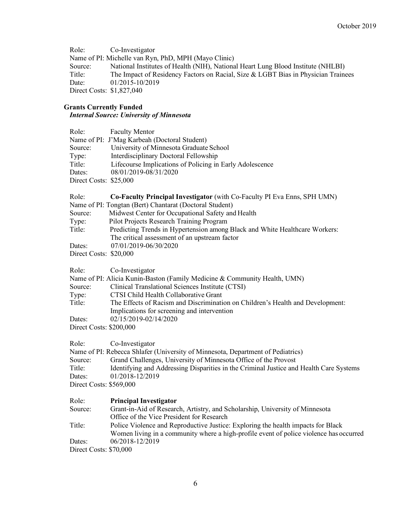Role: Co-Investigator Name of PI: Michelle van Ryn, PhD, MPH (Mayo Clinic) Source: National Institutes of Health (NIH), National Heart Lung Blood Institute (NHLBI) Title: The Impact of Residency Factors on Racial, Size & LGBT Bias in Physician Trainees Date: 01/2015-10/2019 Direct Costs: \$1,827,040

# **Grants Currently Funded**

# *Internal Source: University of Minnesota*

| Role:                   | <b>Faculty Mentor</b>                                                                                                        |
|-------------------------|------------------------------------------------------------------------------------------------------------------------------|
|                         | Name of PI: J'Mag Karbeah (Doctoral Student)                                                                                 |
| Source:                 | University of Minnesota Graduate School                                                                                      |
| Type:                   | Interdisciplinary Doctoral Fellowship                                                                                        |
| Title:                  | Lifecourse Implications of Policing in Early Adolescence                                                                     |
| Dates:                  | 08/01/2019-08/31/2020                                                                                                        |
| Direct Costs: \$25,000  |                                                                                                                              |
| Role:                   | Co-Faculty Principal Investigator (with Co-Faculty PI Eva Enns, SPH UMN)                                                     |
|                         | Name of PI: Tongtan (Bert) Chantarat (Doctoral Student)                                                                      |
| Source:                 | Midwest Center for Occupational Safety and Health                                                                            |
| Type:                   | Pilot Projects Research Training Program                                                                                     |
| Title:                  | Predicting Trends in Hypertension among Black and White Healthcare Workers:<br>The critical assessment of an upstream factor |
| Dates:                  | 07/01/2019-06/30/2020                                                                                                        |
| Direct Costs: \$20,000  |                                                                                                                              |
| Role:                   | Co-Investigator                                                                                                              |
|                         | Name of PI: Alicia Kunin-Baston (Family Medicine & Community Health, UMN)                                                    |
| Source:                 | Clinical Translational Sciences Institute (CTSI)                                                                             |
| Type:                   | CTSI Child Health Collaborative Grant                                                                                        |
| Title:                  | The Effects of Racism and Discrimination on Children's Health and Development:                                               |
|                         | Implications for screening and intervention                                                                                  |
| Dates:                  | 02/15/2019-02/14/2020                                                                                                        |
| Direct Costs: \$200,000 |                                                                                                                              |
|                         |                                                                                                                              |

Role: Co-Investigator

|                         | Name of PI: Rebecca Shlafer (University of Minnesota, Department of Pediatrics)        |
|-------------------------|----------------------------------------------------------------------------------------|
| Source:                 | Grand Challenges, University of Minnesota Office of the Provost                        |
| Title:                  | Identifying and Addressing Disparities in the Criminal Justice and Health Care Systems |
| Dates:                  | 01/2018-12/2019                                                                        |
| Direct Costs: \$569,000 |                                                                                        |
|                         |                                                                                        |

| Role:<br><b>Principal Investigator</b> |  |
|----------------------------------------|--|
|----------------------------------------|--|

| Source: | Grant-in-Aid of Research, Artistry, and Scholarship, University of Minnesota           |
|---------|----------------------------------------------------------------------------------------|
|         | Office of the Vice President for Research                                              |
| Title:  | Police Violence and Reproductive Justice: Exploring the health impacts for Black       |
|         | Women living in a community where a high-profile event of police violence has occurred |
| Dates:  | 06/2018-12/2019                                                                        |

Direct Costs: \$70,000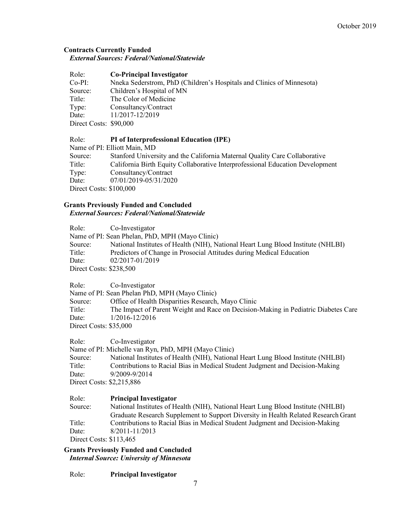#### **Contracts Currently Funded** *External Sources: Federal/National/Statewide*

| Role: | <b>Co-Principal Investigator</b> |  |
|-------|----------------------------------|--|
|       |                                  |  |

Co-PI: Nneka Sederstrom, PhD (Children's Hospitals and Clinics of Minnesota) Source: Children's Hospital of MN Title: The Color of Medicine Type: Consultancy/Contract Date: 11/2017-12/2019 Direct Costs: \$90,000

# Role: **PI of Interprofessional Education (IPE)**

Name of PI: Elliott Main, MD

| Source:                 | Stanford University and the California Maternal Quality Care Collaborative    |
|-------------------------|-------------------------------------------------------------------------------|
| Title:                  | California Birth Equity Collaborative Interprofessional Education Development |
| Type:                   | Consultancy/Contract                                                          |
| Date:                   | 07/01/2019-05/31/2020                                                         |
| Direct Costs: \$100,000 |                                                                               |
|                         |                                                                               |

# **Grants Previously Funded and Concluded**

*External Sources: Federal/National/Statewide*

Role: Co-Investigator Name of PI: Sean Phelan, PhD, MPH (Mayo Clinic) Source: National Institutes of Health (NIH), National Heart Lung Blood Institute (NHLBI) Title: Predictors of Change in Prosocial Attitudes during Medical Education Date: 02/2017-01/2019 Direct Costs: \$238,500

Role: Co-Investigator

Name of PI: Sean Phelan PhD, MPH (Mayo Clinic)

Source: Office of Health Disparities Research, Mayo Clinic Title: The Impact of Parent Weight and Race on Decision-Making in Pediatric Diabetes Care Date: 1/2016-12/2016

Direct Costs: \$35,000

Role: Co-Investigator

Name of PI: Michelle van Ryn, PhD, MPH (Mayo Clinic)

Source: National Institutes of Health (NIH), National Heart Lung Blood Institute (NHLBI) Title: Contributions to Racial Bias in Medical Student Judgment and Decision-Making Date: 9/2009-9/2014 Direct Costs: \$2,215,886

# Role: **Principal Investigator**

Source: National Institutes of Health (NIH), National Heart Lung Blood Institute (NHLBI) Graduate Research Supplement to Support Diversity in Health Related Research Grant Title: Contributions to Racial Bias in Medical Student Judgment and Decision-Making Date: 8/2011-11/2013 Direct Costs: \$113,465

**Grants Previously Funded and Concluded** *Internal Source: University of Minnesota*

Role: **Principal Investigator**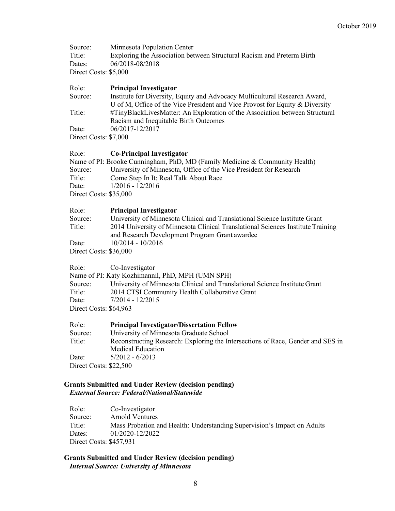| Source:               | Minnesota Population Center                                           |
|-----------------------|-----------------------------------------------------------------------|
| Title:                | Exploring the Association between Structural Racism and Preterm Birth |
| Dates:                | 06/2018-08/2018                                                       |
| Direct Costs: \$5,000 |                                                                       |

#### Role: **Principal Investigator**

Source: Institute for Diversity, Equity and Advocacy Multicultural Research Award, U of M, Office of the Vice President and Vice Provost for Equity & Diversity Title: #TinyBlackLivesMatter: An Exploration of the Association between Structural Racism and Inequitable Birth Outcomes Date: 06/2017-12/2017 Direct Costs: \$7,000

#### Role: **Co-Principal Investigator**

| Name of PI: Brooke Cunningham, PhD, MD (Family Medicine & Community Health) |                                                                    |  |
|-----------------------------------------------------------------------------|--------------------------------------------------------------------|--|
| Source:                                                                     | University of Minnesota, Office of the Vice President for Research |  |
| Title:                                                                      | Come Step In It: Real Talk About Race                              |  |
| Date:                                                                       | $1/2016 - 12/2016$                                                 |  |
| Direct Costs: \$35,000                                                      |                                                                    |  |

| Role:                  | <b>Principal Investigator</b>                                                   |
|------------------------|---------------------------------------------------------------------------------|
| Source:                | University of Minnesota Clinical and Translational Science Institute Grant      |
| Title:                 | 2014 University of Minnesota Clinical Translational Sciences Institute Training |
|                        | and Research Development Program Grant awardee                                  |
| Date:                  | $10/2014 - 10/2016$                                                             |
| Direct Costs: \$36,000 |                                                                                 |

Role: Co-Investigator

Name of PI: Katy Kozhimannil, PhD, MPH (UMN SPH)

Source: University of Minnesota Clinical and Translational Science Institute Grant Title: 2014 CTSI Community Health Collaborative Grant Date:  $7/2014 - 12/2015$ Direct Costs: \$64,963

| Role:                  | <b>Principal Investigator/Dissertation Fellow</b>                               |
|------------------------|---------------------------------------------------------------------------------|
| Source:                | University of Minnesota Graduate School                                         |
| Title:                 | Reconstructing Research: Exploring the Intersections of Race, Gender and SES in |
|                        | <b>Medical Education</b>                                                        |
| Date:                  | $5/2012 - 6/2013$                                                               |
| Direct Costs: \$22,500 |                                                                                 |

#### **Grants Submitted and Under Review (decision pending)** *External Source: Federal/National/Statewide*

| Role:                   | Co-Investigator                                                         |
|-------------------------|-------------------------------------------------------------------------|
| Source:                 | <b>Arnold Ventures</b>                                                  |
| Title:                  | Mass Probation and Health: Understanding Supervision's Impact on Adults |
| Dates:                  | 01/2020-12/2022                                                         |
| Direct Costs: \$457,931 |                                                                         |

#### **Grants Submitted and Under Review (decision pending)** *Internal Source: University of Minnesota*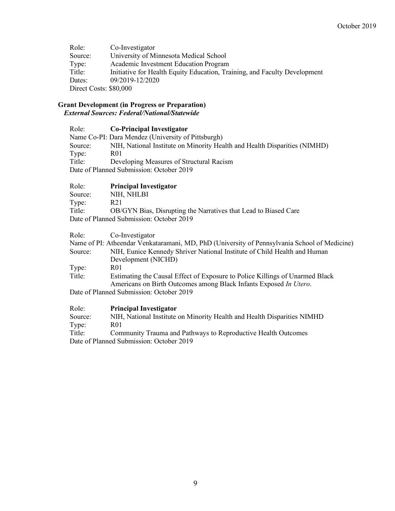Role: Co-Investigator Source: University of Minnesota Medical School Type: Academic Investment Education Program Title: Initiative for Health Equity Education, Training, and Faculty Development Dates: 09/2019-12/2020 Direct Costs: \$80,000

#### **Grant Development (in Progress or Preparation)** *External Sources: Federal/National/Statewide*

| Role:                                    | <b>Co-Principal Investigator</b>                                          |
|------------------------------------------|---------------------------------------------------------------------------|
|                                          | Name Co-PI: Dara Mendez (University of Pittsburgh)                        |
| Source:                                  | NIH, National Institute on Minority Health and Health Disparities (NIMHD) |
| Type:                                    | R01                                                                       |
| Title:                                   | Developing Measures of Structural Racism                                  |
| Date of Planned Submission: October 2019 |                                                                           |

# Role: **Principal Investigator**

| Source:                                  | NIH, NHLBI                                                      |  |
|------------------------------------------|-----------------------------------------------------------------|--|
| Type:                                    | R21                                                             |  |
| Title:                                   | OB/GYN Bias, Disrupting the Narratives that Lead to Biased Care |  |
| Date of Planned Submission: October 2019 |                                                                 |  |

Role: Co-Investigator

|         | Name of PI: Atheendar Venkataramani, MD, PhD (University of Pennsylvania School of Medicine) |
|---------|----------------------------------------------------------------------------------------------|
| Source: | NIH, Eunice Kennedy Shriver National Institute of Child Health and Human                     |
|         | Development (NICHD)                                                                          |
| Type:   | R01                                                                                          |
| Title:  | Estimating the Causal Effect of Exposure to Police Killings of Unarmed Black                 |
|         | Americans on Birth Outcomes among Black Infants Exposed In Utero.                            |
|         | Date of Planned Submission: October 2019                                                     |
|         |                                                                                              |

| Role:                                    | <b>Principal Investigator</b>                                           |
|------------------------------------------|-------------------------------------------------------------------------|
| Source:                                  | NIH, National Institute on Minority Health and Health Disparities NIMHD |
| Type:                                    | R <sub>01</sub>                                                         |
| Title:                                   | Community Trauma and Pathways to Reproductive Health Outcomes           |
| Date of Planned Submission: October 2019 |                                                                         |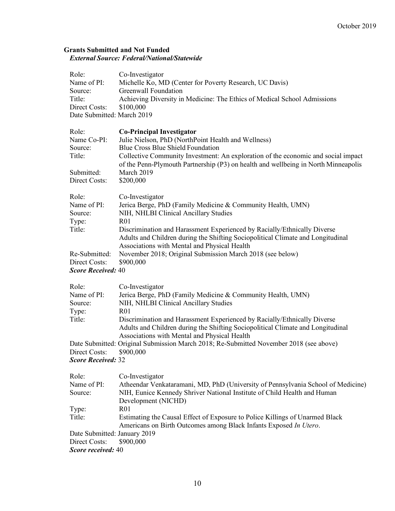# **Grants Submitted and Not Funded** *External Source: Federal/National/Statewide*

| Role:<br>Name of PI:<br>Source:<br>Title:<br>Direct Costs:<br>Date Submitted: March 2019 | Co-Investigator<br>Michelle Ko, MD (Center for Poverty Research, UC Davis)<br>Greenwall Foundation<br>Achieving Diversity in Medicine: The Ethics of Medical School Admissions<br>\$100,000                         |
|------------------------------------------------------------------------------------------|---------------------------------------------------------------------------------------------------------------------------------------------------------------------------------------------------------------------|
| Role:<br>Name Co-PI:                                                                     | <b>Co-Principal Investigator</b><br>Julie Nielson, PhD (NorthPoint Health and Wellness)                                                                                                                             |
| Source:<br>Title:                                                                        | <b>Blue Cross Blue Shield Foundation</b><br>Collective Community Investment: An exploration of the economic and social impact<br>of the Penn-Plymouth Partnership (P3) on health and wellbeing in North Minneapolis |
| Submitted:<br>Direct Costs:                                                              | March 2019<br>\$200,000                                                                                                                                                                                             |
| Role:<br>Name of PI:<br>Source:                                                          | Co-Investigator<br>Jerica Berge, PhD (Family Medicine & Community Health, UMN)<br>NIH, NHLBI Clinical Ancillary Studies<br>R <sub>0</sub> 1                                                                         |
| Type:<br>Title:                                                                          | Discrimination and Harassment Experienced by Racially/Ethnically Diverse<br>Adults and Children during the Shifting Sociopolitical Climate and Longitudinal<br>Associations with Mental and Physical Health         |
| Re-Submitted:<br>Direct Costs:                                                           | November 2018; Original Submission March 2018 (see below)<br>\$900,000                                                                                                                                              |
| <b>Score Received: 40</b>                                                                |                                                                                                                                                                                                                     |
| Role:                                                                                    | Co-Investigator                                                                                                                                                                                                     |
| Name of PI:<br>Source:<br>Type:                                                          | Jerica Berge, PhD (Family Medicine & Community Health, UMN)<br>NIH, NHLBI Clinical Ancillary Studies<br>R <sub>01</sub>                                                                                             |
| Title:                                                                                   | Discrimination and Harassment Experienced by Racially/Ethnically Diverse<br>Adults and Children during the Shifting Sociopolitical Climate and Longitudinal<br>Associations with Mental and Physical Health         |
| Direct Costs:<br><b>Score Received: 32</b>                                               | Date Submitted: Original Submission March 2018; Re-Submitted November 2018 (see above)<br>\$900,000                                                                                                                 |
| Role:<br>Name of PI:<br>Source:                                                          | Co-Investigator<br>Atheendar Venkataramani, MD, PhD (University of Pennsylvania School of Medicine)<br>NIH, Eunice Kennedy Shriver National Institute of Child Health and Human<br>Development (NICHD)              |
| Type:<br>Title:                                                                          | R <sub>01</sub><br>Estimating the Causal Effect of Exposure to Police Killings of Unarmed Black                                                                                                                     |
| Date Submitted: January 2019<br>Direct Costs:                                            | Americans on Birth Outcomes among Black Infants Exposed In Utero.<br>\$900,000                                                                                                                                      |

*Score received:* 40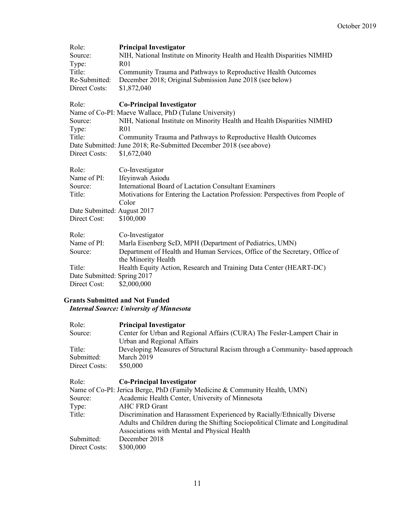| Role:                       | <b>Principal Investigator</b>                                                                      |
|-----------------------------|----------------------------------------------------------------------------------------------------|
| Source:                     | NIH, National Institute on Minority Health and Health Disparities NIMHD                            |
| Type:                       | R <sub>01</sub>                                                                                    |
| Title:                      | Community Trauma and Pathways to Reproductive Health Outcomes                                      |
| Re-Submitted:               | December 2018; Original Submission June 2018 (see below)                                           |
| Direct Costs:               | \$1,872,040                                                                                        |
| Role:                       | <b>Co-Principal Investigator</b>                                                                   |
|                             | Name of Co-PI: Maeve Wallace, PhD (Tulane University)                                              |
| Source:                     | NIH, National Institute on Minority Health and Health Disparities NIMHD                            |
| Type:                       | R <sub>01</sub>                                                                                    |
| Title:                      | Community Trauma and Pathways to Reproductive Health Outcomes                                      |
|                             | Date Submitted: June 2018; Re-Submitted December 2018 (see above)                                  |
| Direct Costs:               | \$1,672,040                                                                                        |
| Role:                       | Co-Investigator                                                                                    |
| Name of PI:                 | Ifeyinwah Asiodu                                                                                   |
| Source:                     | <b>International Board of Lactation Consultant Examiners</b>                                       |
| Title:                      | Motivations for Entering the Lactation Profession: Perspectives from People of                     |
|                             | Color                                                                                              |
| Date Submitted: August 2017 |                                                                                                    |
| Direct Cost:                | \$100,000                                                                                          |
| Role:                       | Co-Investigator                                                                                    |
| Name of PI:                 | Marla Eisenberg ScD, MPH (Department of Pediatrics, UMN)                                           |
| Source:                     | Department of Health and Human Services, Office of the Secretary, Office of<br>the Minority Health |
| Title:                      | Health Equity Action, Research and Training Data Center (HEART-DC)                                 |
| Date Submitted: Spring 2017 |                                                                                                    |
| Direct Cost:                | \$2,000,000                                                                                        |
|                             |                                                                                                    |

# **Grants Submitted and Not Funded**

# *Internal Source: University of Minnesota*

| Role:         | <b>Principal Investigator</b>                                                   |
|---------------|---------------------------------------------------------------------------------|
| Source:       | Center for Urban and Regional Affairs (CURA) The Fesler-Lampert Chair in        |
|               | Urban and Regional Affairs                                                      |
| Title:        | Developing Measures of Structural Racism through a Community-based approach     |
| Submitted:    | March 2019                                                                      |
| Direct Costs: | \$50,000                                                                        |
| Role:         | <b>Co-Principal Investigator</b>                                                |
|               | Name of Co-PI: Jerica Berge, PhD (Family Medicine & Community Health, UMN)      |
| Source:       | Academic Health Center, University of Minnesota                                 |
| Type:         | <b>AHC FRD Grant</b>                                                            |
| Title:        | Discrimination and Harassment Experienced by Racially/Ethnically Diverse        |
|               | Adults and Children during the Shifting Sociopolitical Climate and Longitudinal |
|               | Associations with Mental and Physical Health                                    |
| Submitted:    | December 2018                                                                   |
| Direct Costs: | \$300,000                                                                       |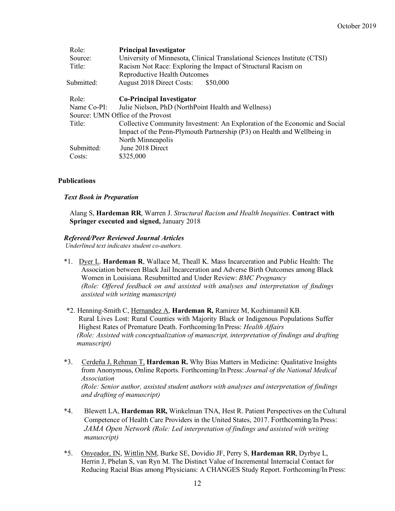| Role:       | <b>Principal Investigator</b>                                              |
|-------------|----------------------------------------------------------------------------|
| Source:     | University of Minnesota, Clinical Translational Sciences Institute (CTSI)  |
| Title:      | Racism Not Race: Exploring the Impact of Structural Racism on              |
|             | Reproductive Health Outcomes                                               |
| Submitted:  | August 2018 Direct Costs:<br>\$50,000                                      |
| Role:       | <b>Co-Principal Investigator</b>                                           |
| Name Co-PI: | Julie Nielson, PhD (NorthPoint Health and Wellness)                        |
|             | Source: UMN Office of the Provost                                          |
| Title:      | Collective Community Investment: An Exploration of the Economic and Social |
|             | Impact of the Penn-Plymouth Partnership (P3) on Health and Wellbeing in    |
|             | North Minneapolis                                                          |
| Submitted:  | June 2018 Direct                                                           |
| Costs:      | \$325,000                                                                  |
|             |                                                                            |

#### **Publications**

#### *Text Book in Preparation*

Alang S, **Hardeman RR**, Warren J. *Structural Racism and Health Inequities*. **Contract with Springer executed and signed,** January 2018

# *Refereed/Peer Reviewed Journal Articles*

*Underlined text indicates student co-authors.*

- \*1. Dyer L. **Hardeman R**, Wallace M, Theall K. Mass Incarceration and Public Health: The Association between Black Jail Incarceration and Adverse Birth Outcomes among Black Women in Louisiana. Resubmitted and Under Review: *BMC Pregnancy (Role: Offered feedback on and assisted with analyses and interpretation of findings assisted with writing manuscript)*
- \*2. Henning-Smith C, Hernandez A, **Hardeman R,** Ramirez M, Kozhimannil KB. Rural Lives Lost: Rural Counties with Majority Black or Indigenous Populations Suffer Highest Rates of Premature Death. Forthcoming/In Press: *Health Affairs (Role: Assisted with conceptualization of manuscript, interpretation of findings and drafting manuscript)*
- \*3. Cerdeña J, Rehman T, **Hardeman R.** Why Bias Matters in Medicine: Qualitative Insights from Anonymous, Online Reports. Forthcoming/In Press: *Journal of the National Medical Association (Role: Senior author, assisted student authors with analyses and interpretation of findings and drafting of manuscript)*
- \*4. Blewett LA, **Hardeman RR,** Winkelman TNA, Hest R. Patient Perspectives on the Cultural Competence of Health Care Providers in the United States, 2017. Forthcoming/In Press: *JAMA Open Network (Role: Led interpretation of findings and assisted with writing manuscript)*
- \*5. Onyeador, IN, Wittlin NM, Burke SE, Dovidio JF, Perry S, **Hardeman RR**, Dyrbye L, Herrin J, Phelan S, van Ryn M. The Distinct Value of Incremental Interracial Contact for Reducing Racial Bias among Physicians: A CHANGES Study Report. Forthcoming/In Press: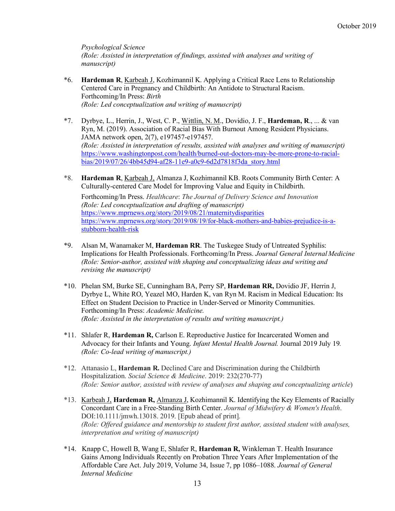*Psychological Science (Role: Assisted in interpretation of findings, assisted with analyses and writing of manuscript)*

- \*6. **Hardeman R**, Karbeah J, Kozhimannil K. Applying a Critical Race Lens to Relationship Centered Care in Pregnancy and Childbirth: An Antidote to Structural Racism. Forthcoming/In Press: *Birth (Role: Led conceptualization and writing of manuscript)*
- \*7. Dyrbye, L., Herrin, J., West, C. P., Wittlin, N. M., Dovidio, J. F., **Hardeman, R**., ... & van Ryn, M. (2019). Association of Racial Bias With Burnout Among Resident Physicians. JAMA network open, 2(7), e197457-e197457. *(Role: Assisted in interpretation of results, assisted with analyses and writing of manuscript)*  https://www.washingtonpost.com/health/burned-out-doctors-may-be-more-prone-to-racialbias/2019/07/26/4bb45d94-af28-11e9-a0c9-6d2d7818f3da\_story.html
- \*8. **Hardeman R**, Karbeah J, Almanza J, Kozhimannil KB. Roots Community Birth Center: A Culturally-centered Care Model for Improving Value and Equity in Childbirth.

Forthcoming/In Press. *Healthcare*: *The Journal of Delivery Science and Innovation (Role: Led conceptualization and drafting of manuscript)*  https://www.mprnews.org/story/2019/08/21/maternitydisparities https://www.mprnews.org/story/2019/08/19/for-black-mothers-and-babies-prejudice-is-astubborn-health-risk

- \*9. Alsan M, Wanamaker M, **Hardeman RR**. The Tuskegee Study of Untreated Syphilis: Implications for Health Professionals. Forthcoming/In Press. *Journal General Internal Medicine (Role: Senior-author, assisted with shaping and conceptualizing ideas and writing and revising the manuscript)*
- \*10. Phelan SM, Burke SE, Cunningham BA, Perry SP, **Hardeman RR,** Dovidio JF, Herrin J, Dyrbye L, White RO, Yeazel MO, Harden K, van Ryn M. Racism in Medical Education: Its Effect on Student Decision to Practice in Under-Served or Minority Communities. Forthcoming/In Press: *Academic Medicine. (Role: Assisted in the interpretation of results and writing manuscript.)*
- \*11. Shlafer R, **Hardeman R,** Carlson E. Reproductive Justice for Incarcerated Women and Advocacy for their Infants and Young. *Infant Mental Health Journal.* Journal 2019 July 19*. (Role: Co-lead writing of manuscript.)*
- \*12. Attanasio L, **Hardeman R.** Declined Care and Discrimination during the Childbirth Hospitalization. *Social Science & Medicine*. 2019: 232(270-77) *(Role: Senior author, assisted with review of analyses and shaping and conceptualizing article*)
- \*13. Karbeah J, **Hardeman R,** Almanza J, Kozhimannil K. Identifying the Key Elements of Racially Concordant Care in a Free-Standing Birth Center. *Journal of Midwifery & Women's Health*. DOI:10.1111/jmwh.13018. 2019. [Epub ahead of print]. *(Role: Offered guidance and mentorship to student first author, assisted student with analyses, interpretation and writing of manuscript)*
- \*14. Knapp C, Howell B, Wang E, Shlafer R, **Hardeman R,** Winkleman T. Health Insurance Gains Among Individuals Recently on Probation Three Years After Implementation of the Affordable Care Act. July 2019, Volume 34, Issue 7, pp 1086–1088. *Journal of General Internal Medicine*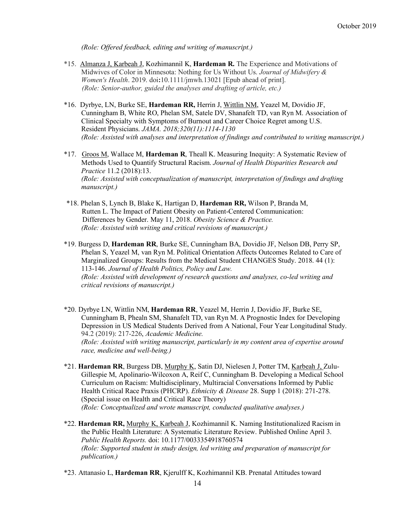*(Role: Offered feedback, editing and writing of manuscript.)*

- \*15. Almanza J, Karbeah J, Kozhimannil K, **Hardeman R.** The Experience and Motivations of Midwives of Color in Minnesota: Nothing for Us Without Us. *Journal of Midwifery & Women's Health*. 2019. doi**:**10.1111/jmwh.13021 [Epub ahead of print].  *(Role: Senior-author, guided the analyses and drafting of article, etc.)*
- \*16. Dyrbye, LN, Burke SE, **Hardeman RR,** Herrin J, Wittlin NM, Yeazel M, Dovidio JF, Cunningham B, White RO, Phelan SM, Satele DV, Shanafelt TD, van Ryn M. Association of Clinical Specialty with Symptoms of Burnout and Career Choice Regret among U.S. Resident Physicians. *JAMA. 2018;320(11):1114-1130 (Role: Assisted with analyses and interpretation of findings and contributed to writing manuscript.)*
- \*17. Groos M, Wallace M, **Hardeman R**, Theall K. Measuring Inequity: A Systematic Review of Methods Used to Quantify Structural Racism. *Journal of Health Disparities Research and Practice* 11.2 (2018):13. *(Role: Assisted with conceptualization of manuscript, interpretation of findings and drafting manuscript.)*
- \*18. Phelan S, Lynch B, Blake K, Hartigan D, **Hardeman RR,** Wilson P, Branda M, Rutten L. The Impact of Patient Obesity on Patient-Centered Communication: Differences by Gender. May 11, 2018. *Obesity Science & Practice. (Role: Assisted with writing and critical revisions of manuscript.)*

\*19. Burgess D, **Hardeman RR**, Burke SE, Cunningham BA, Dovidio JF, Nelson DB, Perry SP, Phelan S, Yeazel M, van Ryn M. Political Orientation Affects Outcomes Related to Care of Marginalized Groups: Results from the Medical Student CHANGES Study. 2018. 44 (1): 113-146. *Journal of Health Politics, Policy and Law. (Role: Assisted with development of research questions and analyses, co-led writing and critical revisions of manuscript.)*

- \*20. Dyrbye LN, Wittlin NM, **Hardeman RR**, Yeazel M, Herrin J, Dovidio JF, Burke SE, Cunningham B, Phealn SM, Shanafelt TD, van Ryn M. A Prognostic Index for Developing Depression in US Medical Students Derived from A National, Four Year Longitudinal Study. 94.2 (2019): 217-226, *Academic Medicine. (Role: Assisted with writing manuscript, particularly in my content area of expertise around race, medicine and well-being.)*
- \*21. **Hardeman RR**, Burgess DB, Murphy K, Satin DJ, Nielesen J, Potter TM, Karbeah J, Zulu-Gillespie M, Apolinario-Wilcoxon A, Reif C, Cunningham B. Developing a Medical School Curriculum on Racism: Multidisciplinary, Multiracial Conversations Informed by Public Health Critical Race Praxis (PHCRP). *Ethnicity & Disease* 28. Supp 1 (2018): 271-278. (Special issue on Health and Critical Race Theory) *(Role: Conceptualized and wrote manuscript, conducted qualitative analyses.)*
- \*22. **Hardeman RR,** Murphy K, Karbeah J, Kozhimannil K. Naming Institutionalized Racism in the Public Health Literature: A Systematic Literature Review. Published Online April 3. *Public Health Reports.* doi: 10.1177/0033354918760574 *(Role: Supported student in study design, led writing and preparation of manuscript for publication.)*
- \*23. Attanasio L, **Hardeman RR**, Kjerulff K, Kozhimannil KB. Prenatal Attitudes toward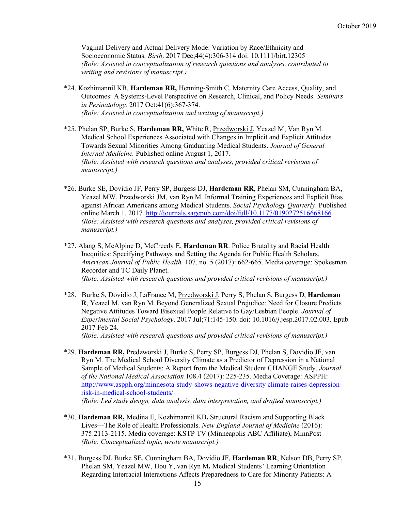Vaginal Delivery and Actual Delivery Mode: Variation by Race/Ethnicity and Socioeconomic Status. *Birth*. 2017 Dec;44(4):306-314 doi: 10.1111/birt.12305 *(Role: Assisted in conceptualization of research questions and analyses, contributed to writing and revisions of manuscript.)*

- \*24. Kozhimannil KB, **Hardeman RR,** Henning-Smith C. Maternity Care Access, Quality, and Outcomes: A Systems-Level Perspective on Research, Clinical, and Policy Needs. *Seminars in Perinatology.* 2017 Oct:41(6):367-374. *(Role: Assisted in conceptualization and writing of manuscript.)*
- \*25. Phelan SP, Burke S, **Hardeman RR,** White R, Przedworski J, Yeazel M, Van Ryn M. Medical School Experiences Associated with Changes in Implicit and Explicit Attitudes Towards Sexual Minorities Among Graduating Medical Students. *Journal of General Internal Medicine.* Published online August 1, 2017*. (Role: Assisted with research questions and analyses, provided critical revisions of manuscript.)*
- \*26. Burke SE, Dovidio JF, Perry SP, Burgess DJ, **Hardeman RR,** Phelan SM, Cunningham BA, Yeazel MW, Przedworski JM, van Ryn M. Informal Training Experiences and Explicit Bias against African Americans among Medical Students. *Social Psychology Quarterly*. Published online March 1, 2017. http://journals.sagepub.com/doi/full/10.1177/0190272516668166 *(Role: Assisted with research questions and analyses, provided critical revisions of manuscript.)*
- \*27. Alang S, McAlpine D, McCreedy E, **Hardeman RR**. Police Brutality and Racial Health Inequities: Specifying Pathways and Setting the Agenda for Public Health Scholars. *American Journal of Public Health.* 107, no. 5 (2017): 662-665. Media coverage: Spokesman Recorder and TC Daily Planet. *(Role: Assisted with research questions and provided critical revisions of manuscript.)*
- \*28. Burke S, Dovidio J, LaFrance M, Przedworski J, Perry S, Phelan S, Burgess D, **Hardeman R**, Yeazel M, van Ryn M. Beyond Generalized Sexual Prejudice: Need for Closure Predicts Negative Attitudes Toward Bisexual People Relative to Gay/Lesbian People. *Journal of Experimental Social Psychology*. 2017 Jul;71:145-150. doi: 10.1016/*j*.jesp.2017.02.003. Epub 2017 Feb 24.

*(Role: Assisted with research questions and provided critical revisions of manuscript.)*

- \*29. **Hardeman RR,** Predzworski J, Burke S, Perry SP, Burgess DJ, Phelan S, Dovidio JF, van Ryn M. The Medical School Diversity Climate as a Predictor of Depression in a National Sample of Medical Students: A Report from the Medical Student CHANGE Study. *Journal of the National Medical Association* 108.4 (2017): 225-235. Media Coverage: ASPPH: http://www.aspph.org/minnesota-study-shows-negative-diversity climate-raises-depressionrisk-in-medical-school-students/ *(Role: Led study design, data analysis, data interpretation, and drafted manuscript.)*
- \*30. **Hardeman RR,** Medina E, Kozhimannil KB**.** Structural Racism and Supporting Black Lives—The Role of Health Professionals. *New England Journal of Medicine* (2016): 375:2113-2115. Media coverage: KSTP TV (Minneapolis ABC Affiliate), MinnPost *(Role: Conceptualized topic, wrote manuscript.)*
- \*31. Burgess DJ, Burke SE, Cunningham BA, Dovidio JF, **Hardeman RR**, Nelson DB, Perry SP, Phelan SM, Yeazel MW, Hou Y, van Ryn M**.** Medical Students' Learning Orientation Regarding Interracial Interactions Affects Preparedness to Care for Minority Patients: A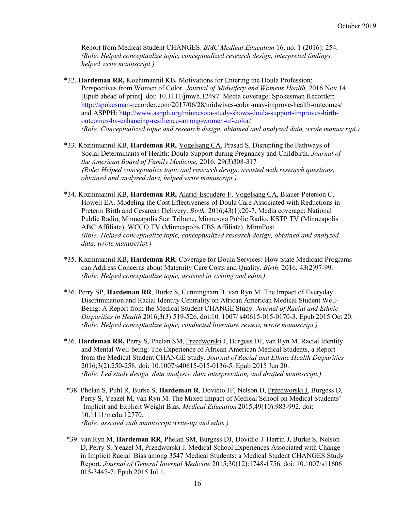Report from Medical Student CHANGES. *BMC Medical Education* 16, no. 1 (2016): 254. *(Role: Helped conceptualize topic, conceptualized research design, interpreted findings, helped write manuscript.)*

- \*32. **Hardeman RR,** Kozhimannil KB**.** Motivations for Entering the Doula Profession: Perspectives from Women of Color. *Journal of Midwifery and Womens Health,* 2016 Nov 14 [Epub ahead of print]. doi: 10.1111/jmwh.12497. Media coverage: Spokesman Recorder: http://spokesman-recorder.com/2017/06/28/midwives-color-may-improve-health-outcomes/ and ASPPH: http://www.aspph.org/minnesota-study-shows-doula-support-improves-birthoutcomes-by-enhancing-resilience-among-women-of-color/ *(Role: Conceptualized topic and research design, obtained and analyzed data, wrote manuscript.)*
- \*33. Kozhimannil KB, **Hardeman RR,** Vogelsang CA, Prasad S. Disrupting the Pathways of Social Determinants of Health: Doula Support during Pregnancy and Childbirth. *Journal of the American Board of Family Medicine,* 2016; 29(3)308-317  *(Role: Helped conceptualize topic and research design, assisted with research questions, obtained and analyzed data, helped write manuscript.)*
- \*34. Kozhimannil KB, **Hardeman RR,** Alarid-Escudero F, Vogelsang CA, Blauer-Peterson C, Howell EA. Modeling the Cost Effectiveness of Doula Care Associated with Reductions in Preterm Birth and Cesarean Delivery. *Birth,* 2016;43(1):20-7. Media coverage: National Public Radio, Minneapolis Star Tribune, Minnesota Public Radio, KSTP TV (Minneapolis ABC Affiliate), WCCO TV (Minneapolis CBS Affiliate), MinnPost. *(Role: Helped conceptualize topic, conceptualized research design, obtained and analyzed data, wrote manuscript.)*
- \*35. Kozhimannil KB**, Hardeman RR.** Coverage for Doula Services: How State Medicaid Programs can Address Concerns about Maternity Care Costs and Quality. *Birth*. 2016; 43(2)97-99. *(Role: Helped conceptualize topic, assisted in writing and edits.)*
- \*36. Perry SP, **Hardeman RR**, Burke S, Cunningham B, van Ryn M. The Impact of Everyday Discrimination and Racial Identity Centrality on African American Medical Student Well-Being: A Report from the Medical Student CHANGE Study. *Journal of Racial and Ethnic Disparities in Health* 2016;3(3):519-526. doi:10. 1007/ s40615-015-0170-3. Epub 2015 Oct 20. *(Role: Helped conceptualize topic, conducted literature review, wrote manuscript.)*
- \*36. **Hardeman RR,** Perry S, Phelan SM, Przedworski J, Burgess DJ, van Ryn M. Racial Identity and Mental Well-being: The Experience of African American Medical Students, a Report from the Medical Student CHANGE Study. *Journal of Racial and Ethnic Health Disparities*  2016;3(2):250-258. doi: 10.1007/s40615-015-0136-5. Epub 2015 Jun 20. *(Role: Led study design, data analysis, data interpretation, and drafted manuscript.)*
- \*38. Phelan S, Puhl R, Burke S, **Hardeman R**, Dovidio JF, Nelson D, Przedworski J, Burgess D, Perry S, Yeazel M, van Ryn M. The Mixed Impact of Medical School on Medical Students' Implicit and Explicit Weight Bias. *Medical Education* 2015;49(10):983-992. doi: 10.1111/medu.12770. *(Role: assisted with manuscript write-up and edits.)*
- \*39. van Ryn M, **Hardeman RR**, Phelan SM, Burgess DJ, Dovidio J. Herrin J, Burke S, Nelson D, Perry S, Yeazel M, Przedworski J. Medical School Experiences Associated with Change in Implicit Racial Bias among 3547 Medical Students: a Medical Student CHANGES Study Report. *Journal of General Internal Medicine* 2015;30(12):1748-1756. doi: 10.1007/s11606 015-3447-7. Epub 2015 Jul 1.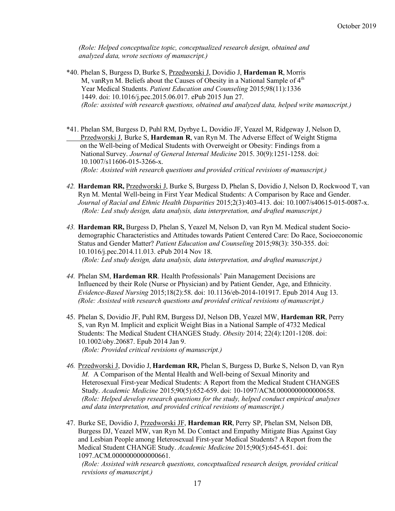*(Role: Helped conceptualize topic, conceptualized research design, obtained and analyzed data, wrote sections of manuscript.)*

- \*40. Phelan S, Burgess D, Burke S, Przedworski J, Dovidio J, **Hardeman R**, Morris M, vanRyn M. Beliefs about the Causes of Obesity in a National Sample of  $4<sup>th</sup>$ Year Medical Students. *Patient Education and Counseling* 2015;98(11):1336 1449. doi: 10.1016/j.pec.2015.06.017. ePub 2015 Jun 27. *(Role: assisted with research questions, obtained and analyzed data, helped write manuscript.)*
- \*41. Phelan SM, Burgess D, Puhl RM, Dyrbye L, Dovidio JF, Yeazel M, Ridgeway J, Nelson D, Przedworski J, Burke S, **Hardeman R**, van Ryn M. The Adverse Effect of Weight Stigma on the Well-being of Medical Students with Overweight or Obesity: Findings from a National Survey. *Journal of General Internal Medicine* 2015. 30(9):1251-1258. doi: 10.1007/s11606-015-3266-x.  *(Role: Assisted with research questions and provided critical revisions of manuscript.)*
- *42.* **Hardeman RR,** Przedworski J, Burke S, Burgess D, Phelan S, Dovidio J, Nelson D, Rockwood T, van Ryn M. Mental Well-being in First Year Medical Students: A Comparison by Race and Gender. *Journal of Racial and Ethnic Health Disparities* 2015;2(3):403-413. doi: 10.1007/s40615-015-0087-x. *(Role: Led study design, data analysis, data interpretation, and drafted manuscript.)*
- *43.* **Hardeman RR,** Burgess D, Phelan S, Yeazel M, Nelson D, van Ryn M. Medical student Sociodemographic Characteristics and Attitudes towards Patient Centered Care: Do Race, Socioeconomic Status and Gender Matter? *Patient Education and Counseling* 2015;98(3): 350-355. doi: 10.1016/j.pec.2014.11.013. ePub 2014 Nov 18. *(Role: Led study design, data analysis, data interpretation, and drafted manuscript.)*
- *44.* Phelan SM, **Hardeman RR**. Health Professionals' Pain Management Decisions are Influenced by their Role (Nurse or Physician) and by Patient Gender, Age, and Ethnicity. *Evidence-Based Nursing* 2015;18(2):58. doi: 10.1136/eb-2014-101917. Epub 2014 Aug 13. *(Role: Assisted with research questions and provided critical revisions of manuscript.)*
- 45. Phelan S, Dovidio JF, Puhl RM, Burgess DJ, Nelson DB, Yeazel MW, **Hardeman RR**, Perry S, van Ryn M. Implicit and explicit Weight Bias in a National Sample of 4732 Medical Students: The Medical Student CHANGES Study. *Obesity* 2014; 22(4):1201-1208. doi: 10.1002/oby.20687. Epub 2014 Jan 9. *(Role: Provided critical revisions of manuscript.)*
- *46.* Przedworski J, Dovidio J, **Hardeman RR,** Phelan S, Burgess D, Burke S, Nelson D, van Ryn *M.* A Comparison of the Mental Health and Well-being of Sexual Minority and Heterosexual First-year Medical Students: A Report from the Medical Student CHANGES Study. *Academic Medicine* 2015;90(5):652-659. doi: 10-1097/ACM.0000000000000658. *(Role: Helped develop research questions for the study, helped conduct empirical analyses and data interpretation, and provided critical revisions of manuscript.)*
- 47. Burke SE, Dovidio J, Przedworski JF, **Hardeman RR**, Perry SP, Phelan SM, Nelson DB, Burgess DJ, Yeazel MW, van Ryn M. Do Contact and Empathy Mitigate Bias Against Gay and Lesbian People among Heterosexual First-year Medical Students? A Report from the Medical Student CHANGE Study. *Academic Medicine* 2015;90(5):645-651. doi: 1097.ACM.0000000000000661.

*(Role: Assisted with research questions, conceptualized research design, provided critical revisions of manuscript.)*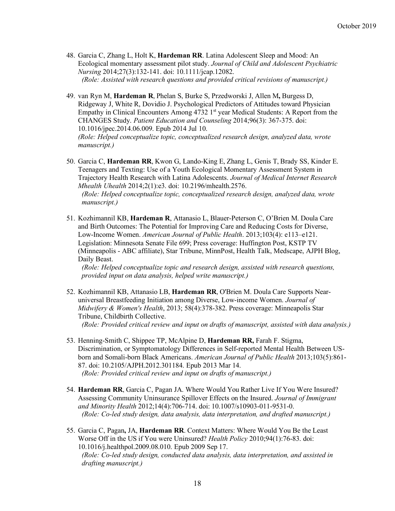- 48. Garcia C, Zhang L, Holt K, **Hardeman RR**. Latina Adolescent Sleep and Mood: An Ecological momentary assessment pilot study. *Journal of Child and Adolescent Psychiatric Nursing* 2014;27(3):132-141. doi: 10.1111/jcap.12082. *(Role: Assisted with research questions and provided critical revisions of manuscript.)*
- 49. van Ryn M, **Hardeman R**, Phelan S, Burke S, Przedworski J, Allen M**,** Burgess D, Ridgeway J, White R, Dovidio J. Psychological Predictors of Attitudes toward Physician Empathy in Clinical Encounters Among  $47321<sup>st</sup>$  year Medical Students: A Report from the CHANGES Study. *Patient Education and Counseling* 2014;96(3): 367-375. doi: 10.1016/jpec.2014.06.009. Epub 2014 Jul 10. *(Role: Helped conceptualize topic, conceptualized research design, analyzed data, wrote manuscript.)*
- 50. Garcia C, **Hardeman RR**, Kwon G, Lando-King E, Zhang L, Genis T, Brady SS, Kinder E. Teenagers and Texting: Use of a Youth Ecological Momentary Assessment System in Trajectory Health Research with Latina Adolescents. *Journal of Medical Internet Research Mhealth Uhealth* 2014;2(1):e3. doi: 10.2196/mhealth.2576. *(Role: Helped conceptualize topic, conceptualized research design, analyzed data, wrote*

*manuscript.)*

51. Kozhimannil KB, **Hardeman R**, Attanasio L, Blauer-Peterson C, O'Brien M. Doula Care and Birth Outcomes: The Potential for Improving Care and Reducing Costs for Diverse, Low-Income Women. *American Journal of Public Health*. 2013;103(4): e113–e121. Legislation: Minnesota Senate File 699; Press coverage: Huffington Post, KSTP TV (Minneapolis - ABC affiliate), Star Tribune, MinnPost, Health Talk, Medscape, AJPH Blog, Daily Beast.

*(Role: Helped conceptualize topic and research design, assisted with research questions, provided input on data analysis, helped write manuscript.)*

- 52. Kozhimannil KB, Attanasio LB, **Hardeman RR**, O'Brien M. Doula Care Supports Nearuniversal Breastfeeding Initiation among Diverse, Low-income Women. *Journal of Midwifery & Women's Health*, 2013; 58(4):378-382. Press coverage: Minneapolis Star Tribune, Childbirth Collective. *(Role: Provided critical review and input on drafts of manuscript, assisted with data analysis.)*
- 53. Henning-Smith C, Shippee TP, McAlpine D, **Hardeman RR,** Farah F. Stigma, Discrimination, or Symptomatology Differences in Self-reported Mental Health Between USborn and Somali-born Black Americans. *American Journal of Public Health* 2013;103(5):861- 87. doi: 10.2105/AJPH.2012.301184. Epub 2013 Mar 14. *(Role: Provided critical review and input on drafts of manuscript.)*
- 54. **Hardeman RR**, Garcia C, Pagan JA. Where Would You Rather Live If You Were Insured? Assessing Community Uninsurance Spillover Effects on the Insured. *Journal of Immigrant and Minority Health* 2012;14(4):706-714. doi: 10.1007/s10903-011-9531-0. *(Role: Co-led study design, data analysis, data interpretation, and drafted manuscript.)*
- 55. Garcia C, Pagan**,** JA, **Hardeman RR**. Context Matters: Where Would You Be the Least Worse Off in the US if You were Uninsured? *Health Policy* 2010;94(1):76-83. doi: 10.1016/j.healthpol.2009.08.010. Epub 2009 Sep 17. *(Role: Co-led study design, conducted data analysis, data interpretation, and assisted in drafting manuscript.)*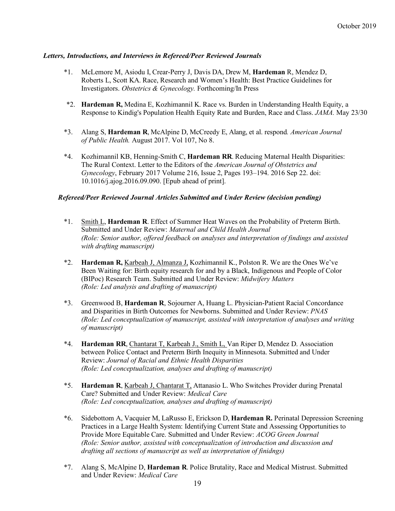# *Letters, Introductions, and Interviews in Refereed/Peer Reviewed Journals*

- \*1. McLemore M, Asiodu I, Crear-Perry J, Davis DA, Drew M, **Hardeman** R, Mendez D, Roberts L, Scott KA. Race, Research and Women's Health: Best Practice Guidelines for Investigators. *Obstetrics & Gynecology.* Forthcoming/In Press
- \*2. **Hardeman R,** Medina E, Kozhimannil K. Race vs. Burden in Understanding Health Equity, a Response to Kindig's Population Health Equity Rate and Burden, Race and Class. *JAMA.* May 23/30
- \*3. Alang S, **Hardeman R**, McAlpine D, McCreedy E, Alang, et al. respond*. American Journal of Public Health.* August 2017. Vol 107, No 8.
- \*4. Kozhimannil KB, Henning-Smith C, **Hardeman RR**. Reducing Maternal Health Disparities: The Rural Context. Letter to the Editors of the *American Journal of Obstetrics and Gynecology*, February 2017 Volume 216, Issue 2, Pages 193–194. 2016 Sep 22. doi: 10.1016/j.ajog.2016.09.090. [Epub ahead of print].

#### *Refereed/Peer Reviewed Journal Articles Submitted and Under Review (decision pending)*

- \*1. Smith L, **Hardeman R**. Effect of Summer Heat Waves on the Probability of Preterm Birth. Submitted and Under Review: *Maternal and Child Health Journal (Role: Senior author, offered feedback on analyses and interpretation of findings and assisted with drafting manuscript)*
- \*2. **Hardeman R,** Karbeah J, Almanza J, Kozhimannil K., Polston R. We are the Ones We've Been Waiting for: Birth equity research for and by a Black, Indigenous and People of Color (BIPoc) Research Team. Submitted and Under Review: *Midwifery Matters (Role: Led analysis and drafting of manuscript)*
- \*3. Greenwood B, **Hardeman R**, Sojourner A, Huang L. Physician-Patient Racial Concordance and Disparities in Birth Outcomes for Newborns. Submitted and Under Review: *PNAS (Role: Led conceptualization of manuscript, assisted with interpretation of analyses and writing of manuscript)*
- \*4. **Hardeman RR**, Chantarat T, Karbeah J., Smith L, Van Riper D, Mendez D. Association between Police Contact and Preterm Birth Inequity in Minnesota. Submitted and Under Review: *Journal of Racial and Ethnic Health Disparities (Role: Led conceptualization, analyses and drafting of manuscript)*
- \*5. **Hardeman R**, Karbeah J, Chantarat T, Attanasio L. Who Switches Provider during Prenatal Care? Submitted and Under Review: *Medical Care (Role: Led conceptualization, analyses and drafting of manuscript)*
- \*6. Sidebottom A, Vacquier M, LaRusso E, Erickson D, **Hardeman R.** Perinatal Depression Screening Practices in a Large Health System: Identifying Current State and Assessing Opportunities to Provide More Equitable Care. Submitted and Under Review: *ACOG Green Journal (Role: Senior author, assisted with conceptualization of introduction and discussion and drafting all sections of manuscript as well as interpretation of finidngs)*
- \*7. Alang S, McAlpine D, **Hardeman R**. Police Brutality, Race and Medical Mistrust. Submitted and Under Review: *Medical Care*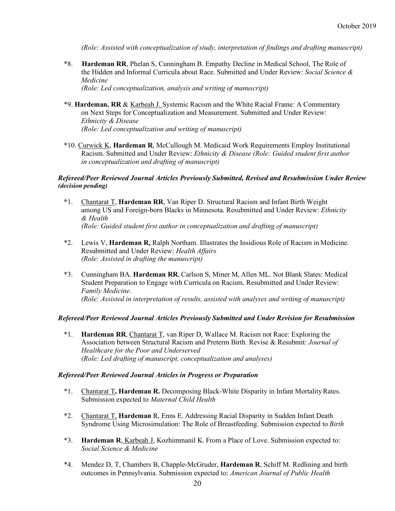*(Role: Assisted with conceptualization of study, interpretation of findings and drafting manuscript)*

\*8. **Hardeman RR**, Phelan S, Cunningham B. Empathy Decline in Medical School, The Role of the Hidden and Informal Curricula about Race. Submitted and Under Review: *Social Science & Medicine*

*(Role: Led conceptualization, analysis and writing of manuscript)*

- \*9. **Hardeman, RR** & Karbeah J. Systemic Racism and the White Racial Frame: A Commentary on Next Steps for Conceptualization and Measurement. Submitted and Under Review: *Ethnicity & Disease (Role: Led conceptualization and writing of manuscript)*
- \*10. Curwick K, **Hardeman R**, McCullough M. Medicaid Work Requirements Employ Institutional Racism. Submitted and Under Review: *Ethnicity & Disease (Role: Guided student first author in conceptualization and drafting of manuscript)*

#### *Refereed/Peer Reviewed Journal Articles Previously Submitted, Revised and Resubmission Under Review (decision pending)*

- \*1. Chantarat T, **Hardeman RR**, Van Riper D. Structural Racism and Infant Birth Weight among US and Foreign-born Blacks in Minnesota. Resubmitted and Under Review: *Ethnicity & Health (Role: Guided student first author in conceptualization and drafting of manuscript)*
- \*2. Lewis V, **Hardeman R,** Ralph Northam. Illustrates the Insidious Role of Racism in Medicine. Resubmitted and Under Review: *Health Affairs (Role: Assisted in drafting the manuscript)*
- \*3. Cunningham BA. **Hardeman RR**, Carlson S, Miner M, Allen ML. Not Blank Slates: Medical Student Preparation to Engage with Curricula on Racism. Resubmitted and Under Review: *Family Medicine*. *(Role: Assisted in interpretation of results, assisted with analyses and writing of manuscript)*

#### *Refereed/Peer Reviewed Journal Articles Previously Submitted and Under Revision for Resubmission*

\*1. **Hardeman RR**, Chantarat T, van Riper D, Wallace M. Racism not Race: Exploring the Association between Structural Racism and Preterm Birth*.* Revise & Resubmit: *Journal of Healthcare for the Poor and Underserved (Role: Led drafting of manuscript, conceptualization and analyses)*

#### *Refereed/Peer Reviewed Journal Articles in Progress or Preparation*

- \*1. Chantarat T**, Hardeman R.** Decomposing Black-White Disparity in Infant MortalityRates. Submission expected to *Maternal Child Health*
- \*2. Chantarat T, **Hardeman** R, Enns E. Addressing Racial Disparity in Sudden Infant Death Syndrome Using Microsimulation: The Role of Breastfeeding. Submission expected to *Birth*
- \*3. **Hardeman R**, Karbeah J, Kozhimmanil K. From a Place of Love. Submission expected to: *Social Science & Medicine*
- \*4. Mendez D, T, Chambers B, Chapple-McGruder, **Hardeman R**, Schiff M. Redlining and birth outcomes in Pennsylvania. Submission expected to: *American Journal of Public Health*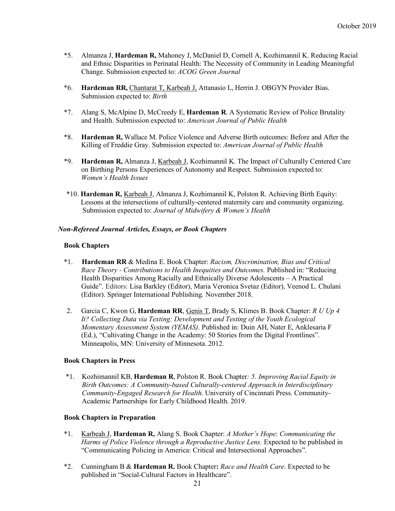- \*5. Almanza J, **Hardeman R,** Mahoney J, McDaniel D, Cornell A, Kozhimannil K. Reducing Racial and Ethnic Disparities in Perinatal Health: The Necessity of Community in Leading Meaningful Change. Submission expected to: *ACOG Green Journal*
- \*6. **Hardeman RR,** Chantarat T, Karbeah J, Attanasio L, Herrin J. OBGYN Provider Bias. Submission expected to: *Birth*
- \*7. Alang S, McAlpine D, McCreedy E, **Hardeman R**. A Systematic Review of Police Brutality and Health. Submission expected to: *American Journal of Public Health*
- \*8. **Hardeman R,** Wallace M. Police Violence and Adverse Birth outcomes: Before and After the Killing of Freddie Gray. Submission expected to: *American Journal of Public Health*
- \*9. **Hardeman R,** Almanza J, Karbeah J, Kozhimannil K. The Impact of Culturally Centered Care on Birthing Persons Experiences of Autonomy and Respect. Submission expected to: *Women's Health Issues*
- \*10. **Hardeman R,** Karbeah J, Almanza J, Kozhimannil K, Polston R. Achieving Birth Equity: Lessons at the intersections of culturally-centered maternity care and community organizing. Submission expected to: *Journal of Midwifery & Women's Health*

#### *Non-Refereed Journal Articles, Essays, or Book Chapters*

#### **Book Chapters**

- \*1. **Hardeman RR** & Medina E. Book Chapter: *Racism, Discrimination, Bias and Critical Race Theory - Contributions to Health Inequities and Outcomes.* Published in: "Reducing Health Disparities Among Racially and Ethnically Diverse Adolescents – A Practical Guide". Editors: Lisa Barkley (Editor), Maria Veronica Svetaz (Editor), Veenod L. Chulani (Editor). Springer International Publishing. November 2018.
- 2. Garcia C, Kwon G, **Hardeman RR**, Genis T, Brady S, Klimes B. Book Chapter: *R U Up 4 It? Collecting Data via Texting: Development and Testing of the Youth Ecological Momentary Assessment System (YEMAS)*. Published in: Duin AH, Nater E, Anklesaria F (Ed.), "Cultivating Change in the Academy: 50 Stories from the Digital Frontlines". Minneapolis, MN: University of Minnesota. 2012.

#### **Book Chapters in Press**

\*1. Kozhimannil KB, **Hardeman R**, Polston R. Book Chapter*: 5. Improving Racial Equity in Birth Outcomes: A Community-based Culturally-centered Approach.in Interdisciplinary Community-Engaged Research for Health*. University of Cincinnati Press. Community-Academic Partnerships for Early Childhood Health. 2019.

#### **Book Chapters in Preparation**

- \*1. Karbeah J, **Hardeman R,** Alang S. Book Chapter: *A Mother's Hope*: *Communicating the Harms of Police Violence through a Reproductive Justice Lens.* Expected to be published in "Communicating Policing in America: Critical and Intersectional Approaches".
- \*2. Cunningham B & **Hardeman R.** Book Chapter**:** *Race and Health Care*. Expected to be published in "Social-Cultural Factors in Healthcare".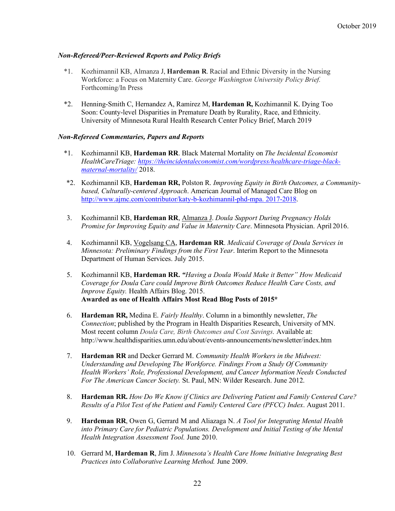# *Non-Refereed/Peer-Reviewed Reports and Policy Briefs*

- \*1. Kozhimannil KB, Almanza J, **Hardeman R**. Racial and Ethnic Diversity in the Nursing Workforce: a Focus on Maternity Care. *George Washington University Policy Brief.* Forthcoming/In Press
- \*2. Henning-Smith C, Hernandez A, Ramirez M, **Hardeman R,** Kozhimannil K. Dying Too Soon: County-level Disparities in Premature Death by Rurality, Race, and Ethnicity. University of Minnesota Rural Health Research Center Policy Brief, March 2019

# *Non-Refereed Commentaries, Papers and Reports*

- \*1. Kozhimannil KB, **Hardeman RR**. Black Maternal Mortality on *The Incidental Economist HealthCareTriage: https://theincidentaleconomist.com/wordpress/healthcare-triage-blackmaternal-mortality/* 2018.
- \*2. Kozhimannil KB, **Hardeman RR,** Polston R. *Improving Equity in Birth Outcomes, a Communitybased, Culturally-centered Approach*. American Journal of Managed Care Blog on http://www.ajmc.com/contributor/katy-b-kozhimannil-phd-mpa. 2017-2018.
- 3. Kozhimannil KB, **Hardeman RR**, Almanza J. *Doula Support During Pregnancy Holds Promise for Improving Equity and Value in Maternity Care*. Minnesota Physician. April 2016.
- 4. Kozhimannil KB, Vogelsang CA, **Hardeman RR**. *Medicaid Coverage of Doula Services in Minnesota: Preliminary Findings from the First Year*. Interim Report to the Minnesota Department of Human Services. July 2015.
- 5. Kozhimannil KB, **Hardeman RR.** *"Having a Doula Would Make it Better" How Medicaid Coverage for Doula Care could Improve Birth Outcomes Reduce Health Care Costs, and Improve Equity.* Health Affairs Blog. 2015. **Awarded as one of Health Affairs Most Read Blog Posts of 2015\***
- 6. **Hardeman RR,** Medina E. *Fairly Healthy*. Column in a bimonthly newsletter, *The Connection*; published by the Program in Health Disparities Research, University of MN. Most recent column *Doula Care, Birth Outcomes and Cost Savings.* Available at: http://www.healthdisparities.umn.edu/about/events-announcements/newsletter/index.htm
- 7. **Hardeman RR** and Decker Gerrard M. *Community Health Workers in the Midwest: Understanding and Developing The Workforce. Findings From a Study Of Community Health Workers' Role, Professional Development, and Cancer Information Needs Conducted For The American Cancer Society.* St. Paul, MN: Wilder Research. June 2012.
- 8. **Hardeman RR.** *How Do We Know if Clinics are Delivering Patient and Family Centered Care? Results of a Pilot Test of the Patient and Family Centered Care (PFCC) Index*. August 2011.
- 9. **Hardeman RR**, Owen G, Gerrard M and Aliazaga N. *A Tool for Integrating Mental Health into Primary Care for Pediatric Populations. Development and Initial Testing of the Mental Health Integration Assessment Tool.* June 2010.
- 10. Gerrard M, **Hardeman R**, Jim J. *Minnesota's Health Care Home Initiative Integrating Best Practices into Collaborative Learning Method.* June 2009.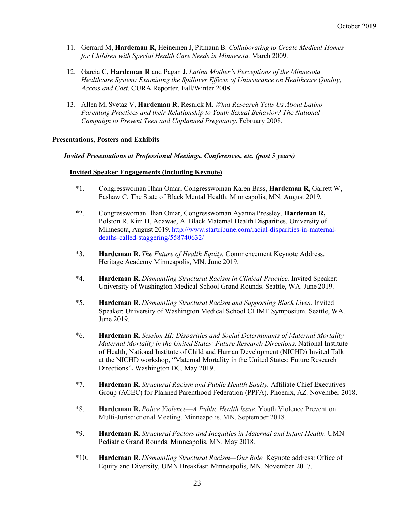- 11. Gerrard M, **Hardeman R,** Heinemen J, Pitmann B. *Collaborating to Create Medical Homes for Children with Special Health Care Needs in Minnesota.* March 2009.
- 12. Garcia C, **Hardeman R** and Pagan J. *Latina Mother's Perceptions of the Minnesota Healthcare System: Examining the Spillover Effects of Uninsurance on Healthcare Quality, Access and Cost*. CURA Reporter. Fall/Winter 2008.
- 13. Allen M, Svetaz V, **Hardeman R**, Resnick M. *What Research Tells Us About Latino Parenting Practices and their Relationship to Youth Sexual Behavior? The National Campaign to Prevent Teen and Unplanned Pregnancy*. February 2008.

#### **Presentations, Posters and Exhibits**

#### *Invited Presentations at Professional Meetings, Conferences, etc. (past 5 years)*

#### **Invited Speaker Engagements (including Keynote)**

- \*1. Congresswoman Ilhan Omar, Congresswoman Karen Bass, **Hardeman R,** Garrett W, Fashaw C. The State of Black Mental Health. Minneapolis, MN. August 2019.
- \*2. Congresswoman Ilhan Omar, Congresswoman Ayanna Pressley, **Hardeman R,**  Polston R, Kim H, Adawae, A. Black Maternal Health Disparities. University of Minnesota, August 2019. http://www.startribune.com/racial-disparities-in-maternaldeaths-called-staggering/558740632/
- \*3. **Hardeman R.** *The Future of Health Equity.* Commencement Keynote Address. Heritage Academy Minneapolis, MN. June 2019.
- \*4. **Hardeman R.** *Dismantling Structural Racism in Clinical Practice.* Invited Speaker: University of Washington Medical School Grand Rounds. Seattle, WA. June 2019.
- \*5. **Hardeman R.** *Dismantling Structural Racism and Supporting Black Lives*. Invited Speaker: University of Washington Medical School CLIME Symposium. Seattle, WA. June 2019.
- \*6. **Hardeman R.** *Session III: Disparities and Social Determinants of Maternal Mortality Maternal Mortality in the United States: Future Research Directions*. National Institute of Health, National Institute of Child and Human Development (NICHD) Invited Talk at the NICHD workshop, "Maternal Mortality in the United States: Future Research Directions"**.** Washington DC. May 2019.
- \*7. **Hardeman R.** *Structural Racism and Public Health Equity.* Affiliate Chief Executives Group (ACEC) for Planned Parenthood Federation (PPFA). Phoenix, AZ. November 2018.
- \*8. **Hardeman R.** *Police Violence—A Public Health Issue.* Youth Violence Prevention Multi-Jurisdictional Meeting. Minneapolis, MN. September 2018.
- \*9. **Hardeman R.** *Structural Factors and Inequities in Maternal and Infant Health*. UMN Pediatric Grand Rounds. Minneapolis, MN. May 2018.
- \*10. **Hardeman R.** *Dismantling Structural Racism—Our Role.* Keynote address: Office of Equity and Diversity, UMN Breakfast: Minneapolis, MN. November 2017.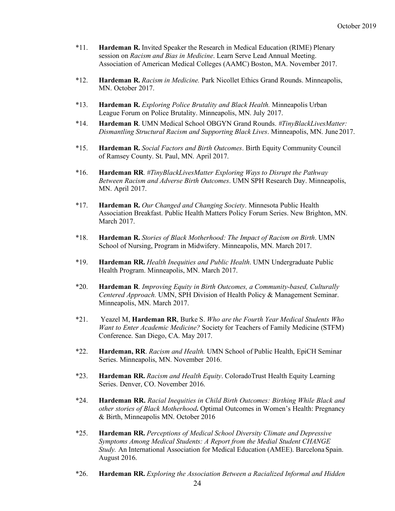- \*11. **Hardeman R.** Invited Speaker the Research in Medical Education (RIME) Plenary session on *Racism and Bias in Medicine*. Learn Serve Lead Annual Meeting. Association of American Medical Colleges (AAMC) Boston, MA. November 2017.
- \*12. **Hardeman R.** *Racism in Medicine.* Park Nicollet Ethics Grand Rounds. Minneapolis, MN. October 2017.
- \*13. **Hardeman R.** *Exploring Police Brutality and Black Health.* Minneapolis Urban League Forum on Police Brutality. Minneapolis, MN. July 2017.
- \*14. **Hardeman R**. UMN Medical School OBGYN Grand Rounds. *#TinyBlackLivesMatter: Dismantling Structural Racism and Supporting Black Lives*. Minneapolis, MN. June 2017.
- \*15. **Hardeman R.** *Social Factors and Birth Outcomes*. Birth Equity Community Council of Ramsey County. St. Paul, MN. April 2017.
- \*16. **Hardeman RR**. *#TinyBlackLivesMatter Exploring Ways to Disrupt the Pathway Between Racism and Adverse Birth Outcomes*. UMN SPH Research Day. Minneapolis, MN. April 2017.
- \*17. **Hardeman R.** *Our Changed and Changing Society*. Minnesota Public Health Association Breakfast. Public Health Matters Policy Forum Series. New Brighton, MN. March 2017.
- \*18. **Hardeman R.** *Stories of Black Motherhood: The Impact of Racism on Birth*. UMN School of Nursing, Program in Midwifery. Minneapolis, MN. March 2017.
- \*19. **Hardeman RR.** *Health Inequities and Public Health*. UMN Undergraduate Public Health Program. Minneapolis, MN. March 2017.
- \*20. **Hardeman R**. *Improving Equity in Birth Outcomes, a Community-based, Culturally Centered Approach.* UMN, SPH Division of Health Policy & Management Seminar. Minneapolis, MN. March 2017.
- \*21. Yeazel M, **Hardeman RR**, Burke S. *Who are the Fourth Year Medical Students Who Want to Enter Academic Medicine?* Society for Teachers of Family Medicine (STFM) Conference. San Diego, CA. May 2017.
- \*22. **Hardeman, RR**. *Racism and Health.* UMN School of Public Health, EpiCH Seminar Series. Minneapolis, MN. November 2016.
- \*23. **Hardeman RR.** *Racism and Health Equity*. ColoradoTrust Health Equity Learning Series. Denver, CO. November 2016.
- \*24. **Hardeman RR.** *Racial Inequities in Child Birth Outcomes: Birthing While Black and other stories of Black Motherhood***.** Optimal Outcomes in Women's Health: Pregnancy & Birth, Minneapolis MN. October 2016
- \*25. **Hardeman RR.** *Perceptions of Medical School Diversity Climate and Depressive Symptoms Among Medical Students: A Report from the Medial Student CHANGE Study.* An International Association for Medical Education (AMEE). Barcelona Spain. August 2016.
- \*26. **Hardeman RR.** *Exploring the Association Between a Racialized Informal and Hidden*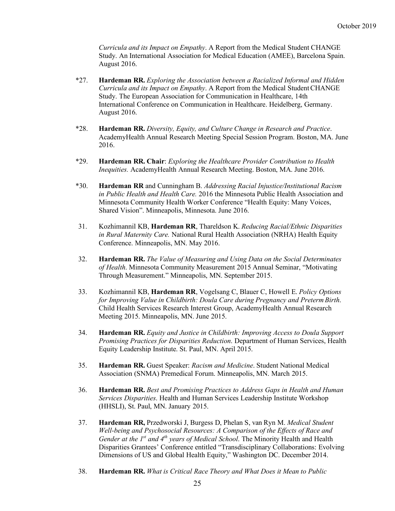*Curricula and its Impact on Empathy*. A Report from the Medical Student CHANGE Study. An International Association for Medical Education (AMEE), Barcelona Spain. August 2016.

- \*27. **Hardeman RR.** *Exploring the Association between a Racialized Informal and Hidden Curricula and its Impact on Empathy*. A Report from the Medical StudentCHANGE Study. The European Association for Communication in Healthcare, 14th International Conference on Communication in Healthcare. Heidelberg, Germany. August 2016.
- \*28. **Hardeman RR.** *Diversity, Equity, and Culture Change in Research and Practice*. AcademyHealth Annual Research Meeting Special Session Program. Boston, MA. June 2016.
- \*29. **Hardeman RR. Chair**: *Exploring the Healthcare Provider Contribution to Health Inequities.* AcademyHealth Annual Research Meeting. Boston, MA. June 2016.
- \*30. **Hardeman RR** and Cunningham B. *Addressing Racial Injustice/Institutional Racism in Public Health and Health Care.* 2016 the Minnesota Public Health Association and Minnesota Community Health Worker Conference "Health Equity: Many Voices, Shared Vision". Minneapolis, Minnesota. June 2016.
- 31. Kozhimannil KB, **Hardeman RR**, Thareldson K. *Reducing Racial/Ethnic Disparities in Rural Maternity Care.* National Rural Health Association (NRHA) Health Equity Conference. Minneapolis, MN. May 2016.
- 32. **Hardeman RR.** *The Value of Measuring and Using Data on the Social Determinates of Health*. Minnesota Community Measurement 2015 Annual Seminar, "Motivating Through Measurement." Minneapolis, MN. September 2015.
- 33. Kozhimannil KB, **Hardeman RR**, Vogelsang C, Blauer C, Howell E. *Policy Options for Improving Value in Childbirth: Doula Care during Pregnancy and Preterm Birth*. Child Health Services Research Interest Group, AcademyHealth Annual Research Meeting 2015. Minneapolis, MN. June 2015.
- 34. **Hardeman RR.** *Equity and Justice in Childbirth: Improving Access to Doula Support Promising Practices for Disparities Reduction*. Department of Human Services, Health Equity Leadership Institute. St. Paul, MN. April 2015.
- 35. **Hardeman RR.** Guest Speaker: *Racism and Medicine*. Student National Medical Association (SNMA) Premedical Forum. Minneapolis, MN. March 2015.
- 36. **Hardeman RR.** *Best and Promising Practices to Address Gaps in Health and Human Services Disparities*. Health and Human Services Leadership Institute Workshop (HHSLI), St. Paul, MN. January 2015.
- 37. **Hardeman RR,** Przedworski J, Burgess D, Phelan S, van Ryn M. *Medical Student Well-being and Psychosocial Resources: A Comparison of the Effects of Race and Gender at the 1st and 4th years of Medical School*. The Minority Health and Health Disparities Grantees' Conference entitled "Transdisciplinary Collaborations: Evolving Dimensions of US and Global Health Equity," Washington DC. December 2014.
- 38. **Hardeman RR.** *What is Critical Race Theory and What Does it Mean to Public*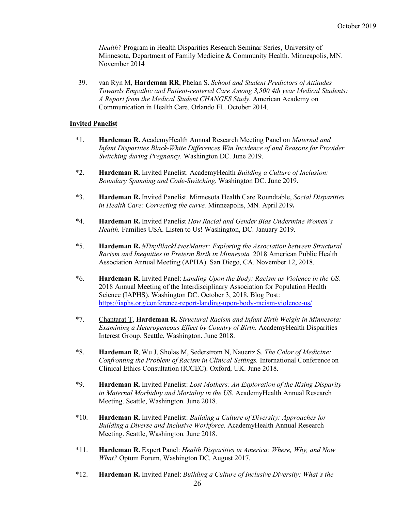*Health?* Program in Health Disparities Research Seminar Series, University of Minnesota, Department of Family Medicine & Community Health. Minneapolis, MN. November 2014

39. van Ryn M, **Hardeman RR**, Phelan S. *School and Student Predictors of Attitudes Towards Empathic and Patient-centered Care Among 3,500 4th year Medical Students: A Report from the Medical Student CHANGES Study.* American Academy on Communication in Health Care. Orlando FL. October 2014.

#### **Invited Panelist**

- \*1. **Hardeman R.** AcademyHealth Annual Research Meeting Panel on *Maternal and Infant Disparities Black-White Differences Win Incidence of and Reasons for Provider Switching during Pregnancy*. Washington DC. June 2019.
- \*2. **Hardeman R.** Invited Panelist. AcademyHealth *Building a Culture of Inclusion: Boundary Spanning and Code-Switching.* Washington DC. June 2019.
- \*3. **Hardeman R.** Invited Panelist. Minnesota Health Care Roundtable, *Social Disparities in Health Care: Correcting the curve.* Minneapolis, MN*.* April 2019**.**
- \*4. **Hardeman R.** Invited Panelist *How Racial and Gender Bias Undermine Women's Health.* Families USA. Listen to Us! Washington, DC. January 2019.
- \*5. **Hardeman R.** *#TinyBlackLivesMatter: Exploring the Association between Structural Racism and Inequities in Preterm Birth in Minnesota.* 2018 American Public Health Association Annual Meeting (APHA). San Diego, CA. November 12, 2018.
- \*6. **Hardeman R.** Invited Panel: *Landing Upon the Body: Racism as Violence in the US.* 2018 Annual Meeting of the Interdisciplinary Association for Population Health Science (IAPHS). Washington DC. October 3, 2018. Blog Post: https://iaphs.org/conference-report-landing-upon-body-racism-violence-us/
- \*7. Chantarat T, **Hardeman R.** *Structural Racism and Infant Birth Weight in Minnesota: Examining a Heterogeneous Effect by Country of Birth.* AcademyHealth Disparities Interest Group. Seattle, Washington. June 2018.
- \*8. **Hardeman R**, Wu J, Sholas M, Sederstrom N, Nauertz S. *The Color of Medicine: Confronting the Problem of Racism in Clinical Settings.* International Conference on Clinical Ethics Consultation (ICCEC). Oxford, UK. June 2018.
- \*9. **Hardeman R.** Invited Panelist: *Lost Mothers: An Exploration of the Rising Disparity in Maternal Morbidity and Mortality in the US*. AcademyHealth Annual Research Meeting. Seattle, Washington. June 2018.
- \*10. **Hardeman R.** Invited Panelist: *Building a Culture of Diversity: Approaches for Building a Diverse and Inclusive Workforce.* AcademyHealth Annual Research Meeting. Seattle, Washington. June 2018.
- \*11. **Hardeman R.** Expert Panel: *Health Disparities in America: Where, Why, and Now What?* Optum Forum, Washington DC. August 2017.
- \*12. **Hardeman R.** Invited Panel: *Building a Culture of Inclusive Diversity: What's the*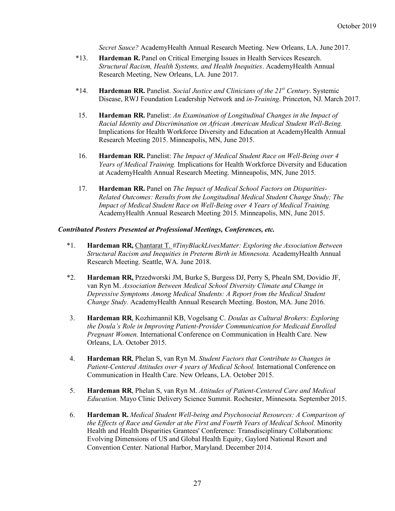*Secret Sauce?* AcademyHealth Annual Research Meeting. New Orleans, LA. June 2017.

- \*13. **Hardeman R.** Panel on Critical Emerging Issues in Health Services Research. *Structural Racism, Health Systems, and Health Inequities*. AcademyHealth Annual Research Meeting, New Orleans, LA. June 2017.
- \*14. **Hardeman RR.** Panelist. *Social Justice and Clinicians of the 21st Century*. Systemic Disease, RWJ Foundation Leadership Network and *in-Training*. Princeton, NJ. March 2017.
- 15. **Hardeman RR.** Panelist: *An Examination of Longitudinal Changes in the Impact of Racial Identity and Discrimination on African American Medical Student Well-Being.*  Implications for Health Workforce Diversity and Education at AcademyHealth Annual Research Meeting 2015. Minneapolis, MN, June 2015.
- 16. **Hardeman RR.** Panelist: *The Impact of Medical Student Race on Well-Being over 4 Years of Medical Training.* Implications for Health Workforce Diversity and Education at AcademyHealth Annual Research Meeting. Minneapolis, MN, June 2015.
- 17. **Hardeman RR.** Panel on *The Impact of Medical School Factors on Disparities-Related Outcomes: Results from the Longitudinal Medical Student Change Study; The Impact of Medical Student Race on Well-Being over 4 Years of Medical Training.*  AcademyHealth Annual Research Meeting 2015. Minneapolis, MN, June 2015.

#### *Contributed Posters Presented at Professional Meetings, Conferences, etc.*

- \*1. **Hardeman RR,** Chantarat T. *#TinyBlackLivesMatter: Exploring the Association Between Structural Racism and Inequities in Preterm Birth in Minnesota.* AcademyHealth Annual Research Meeting. Seattle, WA. June 2018.
- \*2. **Hardeman RR,** Przedworski JM, Burke S, Burgess DJ, Perry S, Phealn SM, Dovidio JF, van Ryn M. *Association Between Medical School Diversity Climate and Change in Depressive Symptoms Among Medical Students: A Report from the Medical Student Change Study.* AcademyHealth Annual Research Meeting. Boston, MA. June 2016.
- 3. **Hardeman RR**, Kozhimannil KB, Vogelsang C. *Doulas as Cultural Brokers: Exploring the Doula's Role in Improving Patient-Provider Communication for Medicaid Enrolled Pregnant Women.* International Conference on Communication in Health Care. New Orleans, LA. October 2015.
- 4. **Hardeman RR**, Phelan S, van Ryn M. *Student Factors that Contribute to Changes in Patient-Centered Attitudes over 4 years of Medical School.* International Conference on Communication in Health Care. New Orleans, LA. October 2015.
- 5. **Hardeman RR**, Phelan S, van Ryn M. *Attitudes of Patient-Centered Care and Medical Education.* Mayo Clinic Delivery Science Summit. Rochester, Minnesota. September 2015.
- 6. **Hardeman R.** *Medical Student Well-being and Psychosocial Resources: A Comparison of the Effects of Race and Gender at the First and Fourth Years of Medical School.* Minority Health and Health Disparities Grantees' Conference: Transdisciplinary Collaborations: Evolving Dimensions of US and Global Health Equity, Gaylord National Resort and Convention Center. National Harbor, Maryland. December 2014.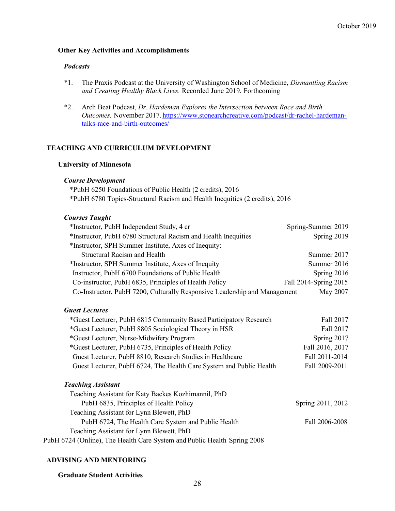# **Other Key Activities and Accomplishments**

#### *Podcasts*

- \*1. The Praxis Podcast at the University of Washington School of Medicine, *Dismantling Racism and Creating Healthy Black Lives.* Recorded June 2019. Forthcoming
- \*2. Arch Beat Podcast, *Dr. Hardeman Explores the Intersection between Race and Birth Outcomes.* November 2017. https://www.stonearchcreative.com/podcast/dr-rachel-hardemantalks-race-and-birth-outcomes/

#### **TEACHING AND CURRICULUM DEVELOPMENT**

#### **University of Minnesota**

#### *Course Development*

\*PubH 6250 Foundations of Public Health (2 credits), 2016 \*PubH 6780 Topics-Structural Racism and Health Inequities (2 credits), 2016

#### *Courses Taught*

| *Instructor, PubH Independent Study, 4 cr                                 | Spring-Summer 2019    |
|---------------------------------------------------------------------------|-----------------------|
| *Instructor, PubH 6780 Structural Racism and Health Inequities            | Spring 2019           |
| *Instructor, SPH Summer Institute, Axes of Inequity:                      |                       |
| <b>Structural Racism and Health</b>                                       | Summer 2017           |
| *Instructor, SPH Summer Institute, Axes of Inequity                       | Summer 2016           |
| Instructor, PubH 6700 Foundations of Public Health                        | Spring $2016$         |
| Co-instructor, PubH 6835, Principles of Health Policy                     | Fall 2014-Spring 2015 |
| Co-Instructor, PubH 7200, Culturally Responsive Leadership and Management | May 2007              |
| <b>Guest Lectures</b>                                                     |                       |
| *Guest Lecturer, PubH 6815 Community Based Participatory Research         | Fall 2017             |
| *Guest Lecturer, PubH 8805 Sociological Theory in HSR                     | Fall 2017             |
| *Guest Lecturer, Nurse-Midwifery Program                                  | Spring 2017           |
| *Guest Lecturer, PubH 6735, Principles of Health Policy                   | Fall 2016, 2017       |
| Guest Lecturer, PubH 8810, Research Studies in Healthcare                 | Fall 2011-2014        |
| Guest Lecturer, PubH 6724, The Health Care System and Public Health       | Fall 2009-2011        |
| <b>Teaching Assistant</b>                                                 |                       |
| Teaching Assistant for Katy Backes Kozhimannil, PhD                       |                       |
| PubH 6835, Principles of Health Policy                                    | Spring 2011, 2012     |
| Teaching Assistant for Lynn Blewett, PhD                                  |                       |
| PubH 6724, The Health Care System and Public Health                       | Fall 2006-2008        |
| Teaching Assistant for Lynn Blewett, PhD                                  |                       |
| PubH 6724 (Online), The Health Care System and Public Health Spring 2008  |                       |

#### **ADVISING AND MENTORING**

**Graduate Student Activities**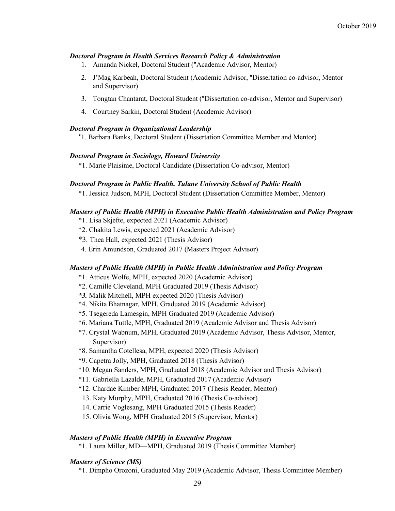#### *Doctoral Program in Health Services Research Policy & Administration*

- 1. Amanda Nickel, Doctoral Student (\*Academic Advisor, Mentor)
- 2. J'Mag Karbeah, Doctoral Student (Academic Advisor, \*Dissertation co-advisor, Mentor and Supervisor)
- 3. Tongtan Chantarat, Doctoral Student (\*Dissertation co-advisor, Mentor and Supervisor)
- 4. Courtney Sarkin, Doctoral Student (Academic Advisor)

#### *Doctoral Program in Organizational Leadership*

\*1. Barbara Banks, Doctoral Student (Dissertation Committee Member and Mentor)

#### *Doctoral Program in Sociology, Howard University*

\*1. Marie Plaisime, Doctoral Candidate (Dissertation Co-advisor, Mentor)

#### *Doctoral Program in Public Health, Tulane University School of Public Health*

\*1. Jessica Judson, MPH, Doctoral Student (Dissertation Committee Member, Mentor)

#### *Masters of Public Health (MPH) in Executive Public Health Administration and Policy Program*

- \*1. Lisa Skjefte, expected 2021 (Academic Advisor)
- \*2. Chakita Lewis, expected 2021 (Academic Advisor)
- \*3. Thea Hall, expected 2021 (Thesis Advisor)
- 4. Erin Amundson, Graduated 2017 (Masters Project Advisor)

#### *Masters of Public Health (MPH) in Public Health Administration and Policy Program*

- \*1. Atticus Wolfe, MPH, expected 2020 (Academic Advisor)
- \*2. Camille Cleveland, MPH Graduated 2019 (Thesis Advisor)
- *\*3.* Malik Mitchell, MPH expected 2020 (Thesis Advisor)
- \*4. Nikita Bhatnagar, MPH, Graduated 2019 (Academic Advisor)
- \*5. Tsegereda Lamesgin, MPH Graduated 2019 (Academic Advisor)
- \*6. Mariana Tuttle, MPH, Graduated 2019 (Academic Advisor and Thesis Advisor)
- \*7. Crystal Wabnum, MPH, Graduated 2019 (Academic Advisor, Thesis Advisor, Mentor, Supervisor)
- \*8. Samantha Cotellesa, MPH, expected 2020 (Thesis Advisor)
- \*9. Capetra Jolly, MPH, Graduated 2018 (Thesis Advisor)
- \*10. Megan Sanders, MPH, Graduated 2018 (Academic Advisor and Thesis Advisor)
- \*11. Gabriella Lazalde, MPH, Graduated 2017 (Academic Advisor)
- \*12. Chardae Kimber MPH, Graduated 2017 (Thesis Reader, Mentor)
- 13. Katy Murphy, MPH, Graduated 2016 (Thesis Co-advisor)
- 14. Carrie Voglesang, MPH Graduated 2015 (Thesis Reader)
- 15. Olivia Wong, MPH Graduated 2015 (Supervisor, Mentor)

#### *Masters of Public Health (MPH) in Executive Program*

\*1. Laura Miller, MD—MPH, Graduated 2019 (Thesis Committee Member)

#### *Masters of Science (MS)*

\*1. Dimpho Orozoni, Graduated May 2019 (Academic Advisor, Thesis Committee Member)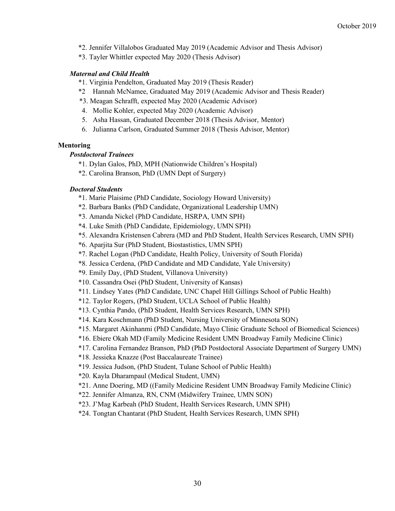- \*2. Jennifer Villalobos Graduated May 2019 (Academic Advisor and Thesis Advisor)
- \*3. Tayler Whittler expected May 2020 (Thesis Advisor)

# *Maternal and Child Health*

- \*1. Virginia Pendelton, Graduated May 2019 (Thesis Reader)
- \*2 Hannah McNamee, Graduated May 2019 (Academic Advisor and Thesis Reader)
- \*3. Meagan Schrafft, expected May 2020 (Academic Advisor)
- 4. Mollie Kohler, expected May 2020 (Academic Advisor)
- 5. Asha Hassan, Graduated December 2018 (Thesis Advisor, Mentor)
- 6. Julianna Carlson, Graduated Summer 2018 (Thesis Advisor, Mentor)

# **Mentoring**

# *Postdoctoral Trainees*

- \*1. Dylan Galos, PhD, MPH (Nationwide Children's Hospital)
- \*2. Carolina Branson, PhD (UMN Dept of Surgery)

# *Doctoral Students*

- \*1. Marie Plaisime (PhD Candidate, Sociology Howard University)
- \*2. Barbara Banks (PhD Candidate, Organizational Leadership UMN)
- \*3. Amanda Nickel (PhD Candidate, HSRPA, UMN SPH)
- \*4. Luke Smith (PhD Candidate, Epidemiology, UMN SPH)
- \*5. Alexandra Kristensen Cabrera (MD and PhD Student, Health Services Research, UMN SPH)
- \*6. Aparjita Sur (PhD Student, Biostastistics, UMN SPH)
- \*7. Rachel Logan (PhD Candidate, Health Policy, University of South Florida)
- \*8. Jessica Cerdena, (PhD Candidate and MD Candidate, Yale University)
- \*9. Emily Day, (PhD Student, Villanova University)
- \*10. Cassandra Osei (PhD Student, University of Kansas)
- \*11. Lindsey Yates (PhD Candidate, UNC Chapel Hill Gillings School of Public Health)
- \*12. Taylor Rogers, (PhD Student, UCLA School of Public Health)
- \*13. Cynthia Pando, (PhD Student, Health Services Research, UMN SPH)
- \*14. Kara Koschmann (PhD Student, Nursing University of Minnesota SON)
- \*15. Margaret Akinhanmi (PhD Candidate, Mayo Clinic Graduate School of Biomedical Sciences)
- \*16. Ebiere Okah MD (Family Medicine Resident UMN Broadway Family Medicine Clinic)
- \*17. Carolina Fernandez Branson, PhD (PhD Postdoctoral Associate Department of Surgery UMN)
- \*18. Jessieka Knazze (Post Baccalaureate Trainee)
- \*19. Jessica Judson, (PhD Student, Tulane School of Public Health)
- \*20. Kayla Dharampaul (Medical Student, UMN)
- \*21. Anne Doering, MD ((Family Medicine Resident UMN Broadway Family Medicine Clinic)
- \*22. Jennifer Almanza, RN, CNM (Midwifery Trainee, UMN SON)
- \*23. J'Mag Karbeah (PhD Student, Health Services Research, UMN SPH)
- \*24. Tongtan Chantarat (PhD Student, Health Services Research, UMN SPH)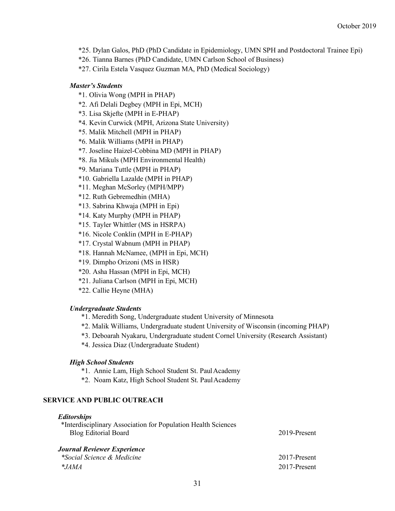- \*25. Dylan Galos, PhD (PhD Candidate in Epidemiology, UMN SPH and Postdoctoral Trainee Epi)
- \*26. Tianna Barnes (PhD Candidate, UMN Carlson School of Business)
- \*27. Cirila Estela Vasquez Guzman MA, PhD (Medical Sociology)

#### *Master's Students*

- \*1. Olivia Wong (MPH in PHAP)
- \*2. Afi Delali Degbey (MPH in Epi, MCH)
- \*3. Lisa Skjefte (MPH in E-PHAP)
- \*4. Kevin Curwick (MPH, Arizona State University)
- \*5. Malik Mitchell (MPH in PHAP)
- \*6. Malik Williams (MPH in PHAP)
- \*7. Joseline Haizel-Cobbina MD (MPH in PHAP)
- \*8. Jia Mikuls (MPH Environmental Health)
- \*9. Mariana Tuttle (MPH in PHAP)
- \*10. Gabriella Lazalde (MPH in PHAP)
- \*11. Meghan McSorley (MPH/MPP)
- \*12. Ruth Gebremedhin (MHA)
- \*13. Sabrina Khwaja (MPH in Epi)
- \*14. Katy Murphy (MPH in PHAP)
- \*15. Tayler Whittler (MS in HSRPA)
- \*16. Nicole Conklin (MPH in E-PHAP)
- \*17. Crystal Wabnum (MPH in PHAP)
- \*18. Hannah McNamee, (MPH in Epi, MCH)
- \*19. Dimpho Orizoni (MS in HSR)
- \*20. Asha Hassan (MPH in Epi, MCH)
- \*21. Juliana Carlson (MPH in Epi, MCH)
- \*22. Callie Heyne (MHA)

#### *Undergraduate Students*

- \*1. Meredith Song, Undergraduate student University of Minnesota
- \*2. Malik Williams, Undergraduate student University of Wisconsin (incoming PHAP)
- \*3. Deboarah Nyakaru, Undergraduate student Cornel University (Research Assistant)
- \*4. Jessica Diaz (Undergraduate Student)

#### *High School Students*

- \*1. Annie Lam, High School Student St. PaulAcademy
- \*2. Noam Katz, High School Student St. PaulAcademy

#### **SERVICE AND PUBLIC OUTREACH**

#### *Editorships*

| *Interdisciplinary Association for Population Health Sciences |              |
|---------------------------------------------------------------|--------------|
| <b>Blog Editorial Board</b>                                   | 2019-Present |
| Journal Reviewer Experience                                   |              |

# *\*Social Science & Medicine* 2017-Present *\*JAMA* 2017-Present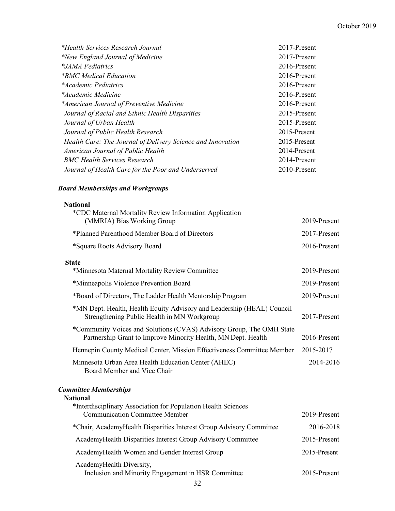#### October 2019

| *Health Services Research Journal                           | 2017-Present |
|-------------------------------------------------------------|--------------|
| *New England Journal of Medicine                            | 2017-Present |
| *JAMA Pediatrics                                            | 2016-Present |
| *BMC Medical Education                                      | 2016-Present |
| *Academic Pediatrics                                        | 2016-Present |
| *Academic Medicine                                          | 2016-Present |
| *American Journal of Preventive Medicine                    | 2016-Present |
| Journal of Racial and Ethnic Health Disparities             | 2015-Present |
| Journal of Urban Health                                     | 2015-Present |
| Journal of Public Health Research                           | 2015-Present |
| Health Care: The Journal of Delivery Science and Innovation | 2015-Present |
| American Journal of Public Health                           | 2014-Present |
| <b>BMC Health Services Research</b>                         | 2014-Present |
| Journal of Health Care for the Poor and Underserved         | 2010-Present |

#### *Board Memberships and Workgroups*

| <b>National</b>                                                                                                                       |              |
|---------------------------------------------------------------------------------------------------------------------------------------|--------------|
| *CDC Maternal Mortality Review Information Application<br>(MMRIA) Bias Working Group                                                  | 2019-Present |
| *Planned Parenthood Member Board of Directors                                                                                         | 2017-Present |
| *Square Roots Advisory Board                                                                                                          | 2016-Present |
| <b>State</b>                                                                                                                          |              |
| *Minnesota Maternal Mortality Review Committee                                                                                        | 2019-Present |
| *Minneapolis Violence Prevention Board                                                                                                | 2019-Present |
| *Board of Directors, The Ladder Health Mentorship Program                                                                             | 2019-Present |
| *MN Dept. Health, Health Equity Advisory and Leadership (HEAL) Council<br>Strengthening Public Health in MN Workgroup                 | 2017-Present |
| *Community Voices and Solutions (CVAS) Advisory Group, The OMH State<br>Partnership Grant to Improve Minority Health, MN Dept. Health | 2016-Present |
| Hennepin County Medical Center, Mission Effectiveness Committee Member                                                                | 2015-2017    |
| Minnesota Urban Area Health Education Center (AHEC)<br>Board Member and Vice Chair                                                    | 2014-2016    |

#### *Committee Memberships*

# **National** \*Interdisciplinary Association for Population Health Sciences Communication Committee Member 2019-Present \*Chair, AcademyHealth Disparities Interest Group Advisory Committee 2016-2018 AcademyHealth Disparities Interest Group Advisory Committee 2015-Present AcademyHealth Women and Gender Interest Group 2015-Present AcademyHealth Diversity, Inclusion and Minority Engagement in HSR Committee 2015-Present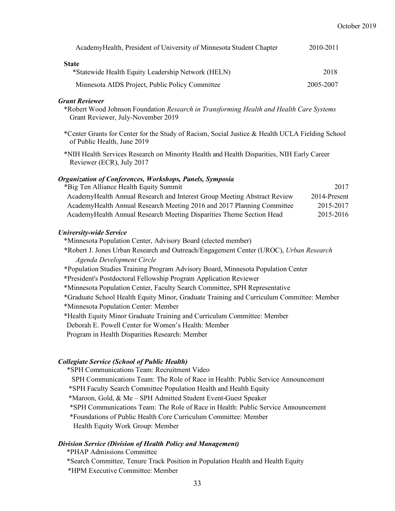| AcademyHealth, President of University of Minnesota Student Chapter | 2010-2011 |
|---------------------------------------------------------------------|-----------|
| <b>State</b>                                                        |           |
| *Statewide Health Equity Leadership Network (HELN)                  | 2018      |
| Minnesota AIDS Project, Public Policy Committee                     | 2005-2007 |

#### *Grant Reviewer*

\*Robert Wood Johnson Foundation *Research in Transforming Health and Health Care Systems* Grant Reviewer, July-November 2019

\*Center Grants for Center for the Study of Racism, Social Justice & Health UCLA Fielding School of Public Health, June 2019

\*NIH Health Services Research on Minority Health and Health Disparities, NIH Early Career Reviewer (ECR), July 2017

# *Organization of Conferences, Workshops, Panels, Symposia*

| *Big Ten Alliance Health Equity Summit                                   | 2017         |
|--------------------------------------------------------------------------|--------------|
| AcademyHealth Annual Research and Interest Group Meeting Abstract Review | 2014-Present |
| AcademyHealth Annual Research Meeting 2016 and 2017 Planning Committee   | 2015-2017    |
| Academy Health Annual Research Meeting Disparities Theme Section Head    | 2015-2016    |

#### *University-wide Service*

\*Minnesota Population Center, Advisory Board (elected member) **\***Robert J. Jones Urban Research and Outreach/Engagement Center (UROC), *Urban Research Agenda Development Circle* **\***Population Studies Training Program Advisory Board, Minnesota Population Center **\***President's Postdoctoral Fellowship Program Application Reviewer \*Minnesota Population Center, Faculty Search Committee, SPH Representative \*Graduate School Health Equity Minor, Graduate Training and Curriculum Committee: Member \*Minnesota Population Center: Member \*Health Equity Minor Graduate Training and Curriculum Committee: Member Deborah E. Powell Center for Women's Health: Member Program in Health Disparities Research: Member

#### *Collegiate Service (School of Public Health)*

\*SPH Communications Team: Recruitment Video SPH Communications Team: The Role of Race in Health: Public Service Announcement \*SPH Faculty Search Committee Population Health and Health Equity \*Maroon, Gold, & Me – SPH Admitted Student Event-Guest Speaker \*SPH Communications Team: The Role of Race in Health: Public Service Announcement \*Foundations of Public Health Core Curriculum Committee: Member Health Equity Work Group: Member

# *Division Service (Division of Health Policy and Management)*

\*PHAP Admissions Committee

\*Search Committee, Tenure Track Position in Population Health and Health Equity \*HPM Executive Committee: Member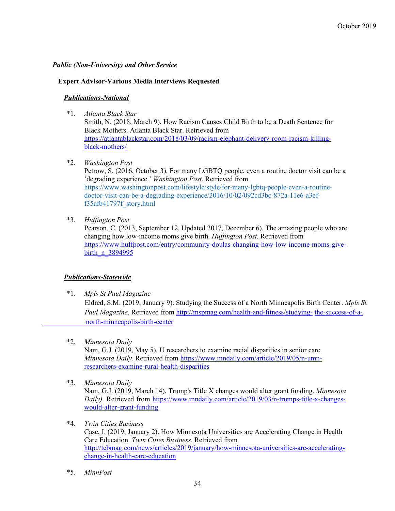# *Public (Non-University) and Other Service*

#### **Expert Advisor-Various Media Interviews Requested**

# *Publications-National*

\*1. *Atlanta Black Star*

Smith, N. (2018, March 9). How Racism Causes Child Birth to be a Death Sentence for Black Mothers. Atlanta Black Star. Retrieved from https://atlantablackstar.com/2018/03/09/racism-elephant-delivery-room-racism-killingblack-mothers/

\*2. *Washington Post*

Petrow, S. (2016, October 3). For many LGBTQ people, even a routine doctor visit can be a 'degrading experience.' *Washington Post*. Retrieved from https://www.washingtonpost.com/lifestyle/style/for-many-lgbtq-people-even-a-routinedoctor-visit-can-be-a-degrading-experience/2016/10/02/092cd3bc-872a-11e6-a3eff35afb41797f\_story.html

\*3. *Huffington Post*

Pearson, C. (2013, September 12. Updated 2017, December 6). The amazing people who are changing how low-income moms give birth. *Huffington Post*. Retrieved from https://www.huffpost.com/entry/community-doulas-changing-how-low-income-moms-givebirth n 3894995

# *Publications-Statewide*

\*1. *Mpls St Paul Magazine*

 Eldred, S.M. (2019, January 9). Studying the Success of a North Minneapolis Birth Center. *Mpls St. Paul Magazine*. Retrieved from http://mspmag.com/health-and-fitness/studying-the-success-of-anorth-minneapolis-birth-center

\*2*. Minnesota Daily*

Nam, G.J. (2019, May 5). U researchers to examine racial disparities in senior care. *Minnesota Daily.* Retrieved from https://www.mndaily.com/article/2019/05/n-umnresearchers-examine-rural-health-disparities

\*3. *Minnesota Daily*

Nam, G.J. (2019, March 14). Trump's Title X changes would alter grant funding. *Minnesota Daily)*. Retrieved from https://www.mndaily.com/article/2019/03/n-trumps-title-x-changeswould-alter-grant-funding

\*4. *Twin Cities Business*

Case, I. (2019, January 2). How Minnesota Universities are Accelerating Change in Health Care Education. *Twin Cities Business.* Retrieved from http://tcbmag.com/news/articles/2019/january/how-minnesota-universities-are-acceleratingchange-in-health-care-education

\*5. *MinnPost*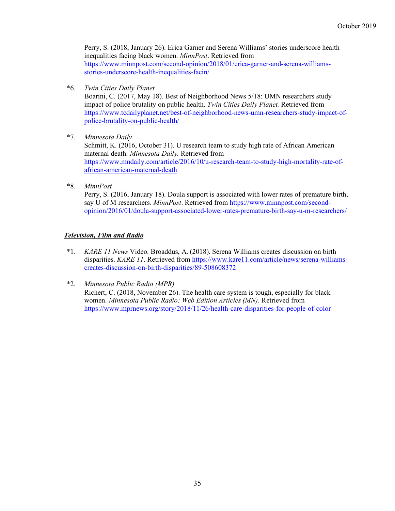Perry, S. (2018, January 26). Erica Garner and Serena Williams' stories underscore health inequalities facing black women. *MinnPost*. Retrieved from https://www.minnpost.com/second-opinion/2018/01/erica-garner-and-serena-williamsstories-underscore-health-inequalities-facin/

\*6. *Twin Cities Daily Planet*

Boarini, C. (2017, May 18). Best of Neighborhood News 5/18: UMN researchers study impact of police brutality on public health. *Twin Cities Daily Planet.* Retrieved from https://www.tcdailyplanet.net/best-of-neighborhood-news-umn-researchers-study-impact-ofpolice-brutality-on-public-health/

\*7. *Minnesota Daily*

Schmitt, K. (2016, October 31). U research team to study high rate of African American maternal death. *Minnesota Daily.* Retrieved from https://www.mndaily.com/article/2016/10/u-research-team-to-study-high-mortality-rate-ofafrican-american-maternal-death

\*8. *MinnPost*

Perry, S. (2016, January 18). Doula support is associated with lower rates of premature birth, say U of M researchers. *MinnPost*. Retrieved from https://www.minnpost.com/secondopinion/2016/01/doula-support-associated-lower-rates-premature-birth-say-u-m-researchers/

# *Television, Film and Radio*

- \*1. *KARE 11 News* Video. Broaddus, A. (2018). Serena Williams creates discussion on birth disparities. *KARE 11*. Retrieved from https://www.kare11.com/article/news/serena-williamscreates-discussion-on-birth-disparities/89-508608372
- \*2. *Minnesota Public Radio (MPR)* Richert, C. (2018, November 26). The health care system is tough, especially for black women. *Minnesota Public Radio: Web Edition Articles (MN)*. Retrieved from https://www.mprnews.org/story/2018/11/26/health-care-disparities-for-people-of-color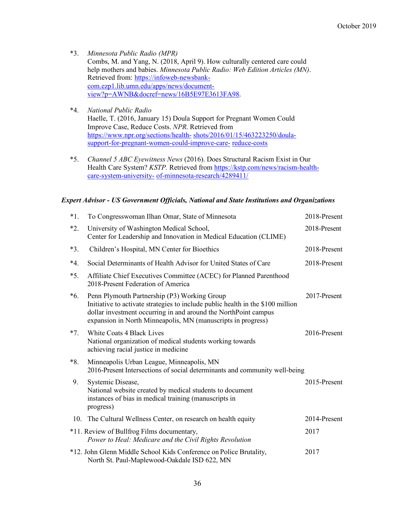- \*3. *Minnesota Public Radio (MPR)* Combs, M. and Yang, N. (2018, April 9). How culturally centered care could help mothers and babies. *Minnesota Public Radio: Web Edition Articles (MN)*. Retrieved from: https://infoweb-newsbankcom.ezp1.lib.umn.edu/apps/news/documentview?p=AWNB&docref=news/16B5E97E3613FA98.
- \*4. *National Public Radio* Haelle, T. (2016, January 15) Doula Support for Pregnant Women Could Improve Case, Reduce Costs. *NPR*. Retrieved from https://www.npr.org/sections/health- shots/2016/01/15/463223250/doulasupport-for-pregnant-women-could-improve-care- reduce-costs
- \*5. *Channel 5 ABC Eyewitness News* (2016). Does Structural Racism Exist in Our Health Care System? *KSTP.* Retrieved from https://kstp.com/news/racism-healthcare-system-university- of-minnesota-research/4289411/

# *Expert Advisor - US Government Officials, National and State Institutions and Organizations*

| $*1$ . | To Congresswoman Ilhan Omar, State of Minnesota                                                                                                                                                                                                                    | 2018-Present |
|--------|--------------------------------------------------------------------------------------------------------------------------------------------------------------------------------------------------------------------------------------------------------------------|--------------|
| $*2.$  | University of Washington Medical School,<br>Center for Leadership and Innovation in Medical Education (CLIME)                                                                                                                                                      | 2018-Present |
| $*3.$  | Children's Hospital, MN Center for Bioethics                                                                                                                                                                                                                       | 2018-Present |
| $*4.$  | Social Determinants of Health Advisor for United States of Care                                                                                                                                                                                                    | 2018-Present |
| $*5.$  | Affiliate Chief Executives Committee (ACEC) for Planned Parenthood<br>2018-Present Federation of America                                                                                                                                                           |              |
| $*6.$  | Penn Plymouth Partnership (P3) Working Group<br>Initiative to activate strategies to include public health in the \$100 million<br>dollar investment occurring in and around the NorthPoint campus<br>expansion in North Minneapolis, MN (manuscripts in progress) | 2017-Present |
| $*7.$  | White Coats 4 Black Lives<br>National organization of medical students working towards<br>achieving racial justice in medicine                                                                                                                                     | 2016-Present |
| $*8.$  | Minneapolis Urban League, Minneapolis, MN<br>2016-Present Intersections of social determinants and community well-being                                                                                                                                            |              |
| 9.     | Systemic Disease,<br>National website created by medical students to document<br>instances of bias in medical training (manuscripts in<br>progress)                                                                                                                | 2015-Present |
| 10.    | The Cultural Wellness Center, on research on health equity                                                                                                                                                                                                         | 2014-Present |
|        | *11. Review of Bullfrog Films documentary,<br>Power to Heal: Medicare and the Civil Rights Revolution                                                                                                                                                              | 2017         |
|        | *12. John Glenn Middle School Kids Conference on Police Brutality,<br>North St. Paul-Maplewood-Oakdale ISD 622, MN                                                                                                                                                 | 2017         |